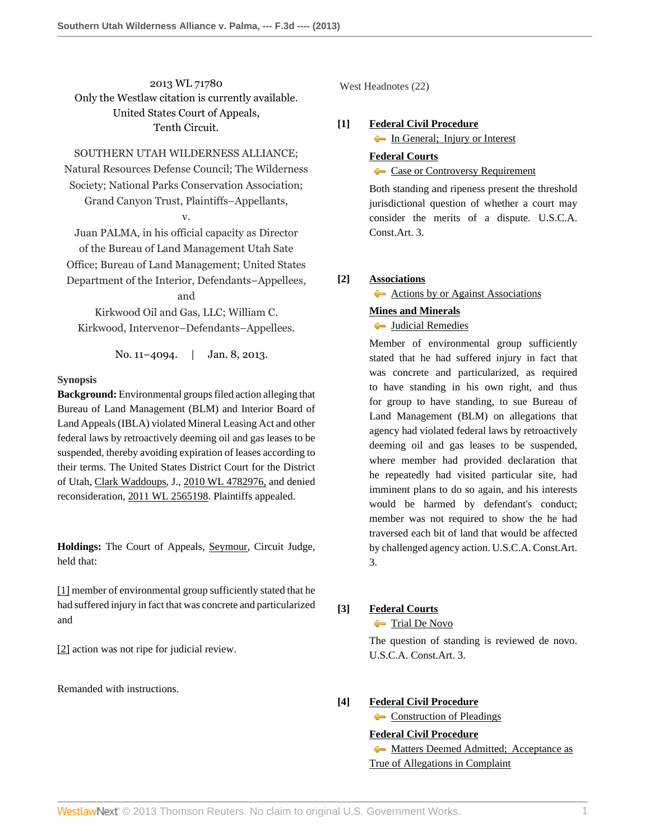2013 WL 71780 Only the Westlaw citation is currently available. United States Court of Appeals, Tenth Circuit.

SOUTHERN UTAH WILDERNESS ALLIANCE; Natural Resources Defense Council; The Wilderness Society; National Parks Conservation Association;

Grand Canyon Trust, Plaintiffs–Appellants,

v.

Juan PALMA, in his official capacity as Director of the Bureau of Land Management Utah Sate Office; Bureau of Land Management; United States Department of the Interior, Defendants–Appellees,

and

Kirkwood Oil and Gas, LLC; William C. Kirkwood, Intervenor–Defendants–Appellees.

No. 11-4094. | Jan. 8, 2013.

## **Synopsis**

**Background:** Environmental groups filed action alleging that Bureau of Land Management (BLM) and Interior Board of Land Appeals (IBLA) violated Mineral Leasing Act and other federal laws by retroactively deeming oil and gas leases to be suspended, thereby avoiding expiration of leases according to their terms. The United States District Court for the District of Utah, [Clark Waddoups,](http://www.westlaw.com/Link/Document/FullText?findType=h&pubNum=176284&cite=0180643101&originatingDoc=I88675e9759b311e280719c3f0e80bdd0&refType=RQ&originationContext=document&vr=3.0&rs=cblt1.0&transitionType=DocumentItem&contextData=(sc.Search)) J., [2010 WL 4782976,](http://www.westlaw.com/Link/Document/FullText?findType=Y&serNum=2023857622&pubNum=999&originationContext=document&vr=3.0&rs=cblt1.0&transitionType=DocumentItem&contextData=(sc.Search)) and denied reconsideration, [2011 WL 2565198](http://www.westlaw.com/Link/Document/FullText?findType=Y&serNum=2025580826&pubNum=0000999&originationContext=document&vr=3.0&rs=cblt1.0&transitionType=DocumentItem&contextData=(sc.Search)). Plaintiffs appealed.

**Holdings:** The Court of Appeals, [Seymour](http://www.westlaw.com/Link/Document/FullText?findType=h&pubNum=176284&cite=0174671001&originatingDoc=I88675e9759b311e280719c3f0e80bdd0&refType=RQ&originationContext=document&vr=3.0&rs=cblt1.0&transitionType=DocumentItem&contextData=(sc.Search)), Circuit Judge, held that:

[\[1\]](#page-0-0) member of environmental group sufficiently stated that he had suffered injury in fact that was concrete and particularized and

[\[2\]](#page-2-0) action was not ripe for judicial review.

Remanded with instructions.

West Headnotes (22)

## <span id="page-0-1"></span>**[\[1\]](#page-7-0) [Federal Civil Procedure](http://www.westlaw.com/Browse/Home/KeyNumber/170A/View.html?docGuid=I88675e9759b311e280719c3f0e80bdd0&originationContext=document&vr=3.0&rs=cblt1.0&transitionType=DocumentItem&contextData=(sc.Search))**

[In General; Injury or Interest](http://www.westlaw.com/Browse/Home/KeyNumber/170Ak103.2/View.html?docGuid=I88675e9759b311e280719c3f0e80bdd0&originationContext=document&vr=3.0&rs=cblt1.0&transitionType=DocumentItem&contextData=(sc.Search))

**[Federal Courts](http://www.westlaw.com/Browse/Home/KeyNumber/170B/View.html?docGuid=I88675e9759b311e280719c3f0e80bdd0&originationContext=document&vr=3.0&rs=cblt1.0&transitionType=DocumentItem&contextData=(sc.Search))**

## [Case or Controversy Requirement](http://www.westlaw.com/Browse/Home/KeyNumber/170Bk12/View.html?docGuid=I88675e9759b311e280719c3f0e80bdd0&originationContext=document&vr=3.0&rs=cblt1.0&transitionType=DocumentItem&contextData=(sc.Search))

Both standing and ripeness present the threshold jurisdictional question of whether a court may consider the merits of a dispute. U.S.C.A. Const.Art. 3.

# <span id="page-0-0"></span>**[\[2\]](#page-7-1) [Associations](http://www.westlaw.com/Browse/Home/KeyNumber/41/View.html?docGuid=I88675e9759b311e280719c3f0e80bdd0&originationContext=document&vr=3.0&rs=cblt1.0&transitionType=DocumentItem&contextData=(sc.Search))**

[Actions by or Against Associations](http://www.westlaw.com/Browse/Home/KeyNumber/41k20/View.html?docGuid=I88675e9759b311e280719c3f0e80bdd0&originationContext=document&vr=3.0&rs=cblt1.0&transitionType=DocumentItem&contextData=(sc.Search))

# **[Mines and Minerals](http://www.westlaw.com/Browse/Home/KeyNumber/260/View.html?docGuid=I88675e9759b311e280719c3f0e80bdd0&originationContext=document&vr=3.0&rs=cblt1.0&transitionType=DocumentItem&contextData=(sc.Search))**

**[Judicial Remedies](http://www.westlaw.com/Browse/Home/KeyNumber/260k5.1(9)/View.html?docGuid=I88675e9759b311e280719c3f0e80bdd0&originationContext=document&vr=3.0&rs=cblt1.0&transitionType=DocumentItem&contextData=(sc.Search))** 

Member of environmental group sufficiently stated that he had suffered injury in fact that was concrete and particularized, as required to have standing in his own right, and thus for group to have standing, to sue Bureau of Land Management (BLM) on allegations that agency had violated federal laws by retroactively deeming oil and gas leases to be suspended, where member had provided declaration that he repeatedly had visited particular site, had imminent plans to do so again, and his interests would be harmed by defendant's conduct; member was not required to show the he had traversed each bit of land that would be affected by challenged agency action. U.S.C.A. Const.Art. 3.

# <span id="page-0-2"></span>**[\[3\]](#page-7-2) [Federal Courts](http://www.westlaw.com/Browse/Home/KeyNumber/170B/View.html?docGuid=I88675e9759b311e280719c3f0e80bdd0&originationContext=document&vr=3.0&rs=cblt1.0&transitionType=DocumentItem&contextData=(sc.Search))**

**[Trial De Novo](http://www.westlaw.com/Browse/Home/KeyNumber/170Bk776/View.html?docGuid=I88675e9759b311e280719c3f0e80bdd0&originationContext=document&vr=3.0&rs=cblt1.0&transitionType=DocumentItem&contextData=(sc.Search))** 

The question of standing is reviewed de novo. U.S.C.A. Const.Art. 3.

# <span id="page-0-3"></span>**[\[4\]](#page-7-3) [Federal Civil Procedure](http://www.westlaw.com/Browse/Home/KeyNumber/170A/View.html?docGuid=I88675e9759b311e280719c3f0e80bdd0&originationContext=document&vr=3.0&rs=cblt1.0&transitionType=DocumentItem&contextData=(sc.Search))**

**[Construction of Pleadings](http://www.westlaw.com/Browse/Home/KeyNumber/170Ak1829/View.html?docGuid=I88675e9759b311e280719c3f0e80bdd0&originationContext=document&vr=3.0&rs=cblt1.0&transitionType=DocumentItem&contextData=(sc.Search))** 

# **[Federal Civil Procedure](http://www.westlaw.com/Browse/Home/KeyNumber/170A/View.html?docGuid=I88675e9759b311e280719c3f0e80bdd0&originationContext=document&vr=3.0&rs=cblt1.0&transitionType=DocumentItem&contextData=(sc.Search))**

**[Matters Deemed Admitted; Acceptance as](http://www.westlaw.com/Browse/Home/KeyNumber/170Ak1835/View.html?docGuid=I88675e9759b311e280719c3f0e80bdd0&originationContext=document&vr=3.0&rs=cblt1.0&transitionType=DocumentItem&contextData=(sc.Search))** [True of Allegations in Complaint](http://www.westlaw.com/Browse/Home/KeyNumber/170Ak1835/View.html?docGuid=I88675e9759b311e280719c3f0e80bdd0&originationContext=document&vr=3.0&rs=cblt1.0&transitionType=DocumentItem&contextData=(sc.Search))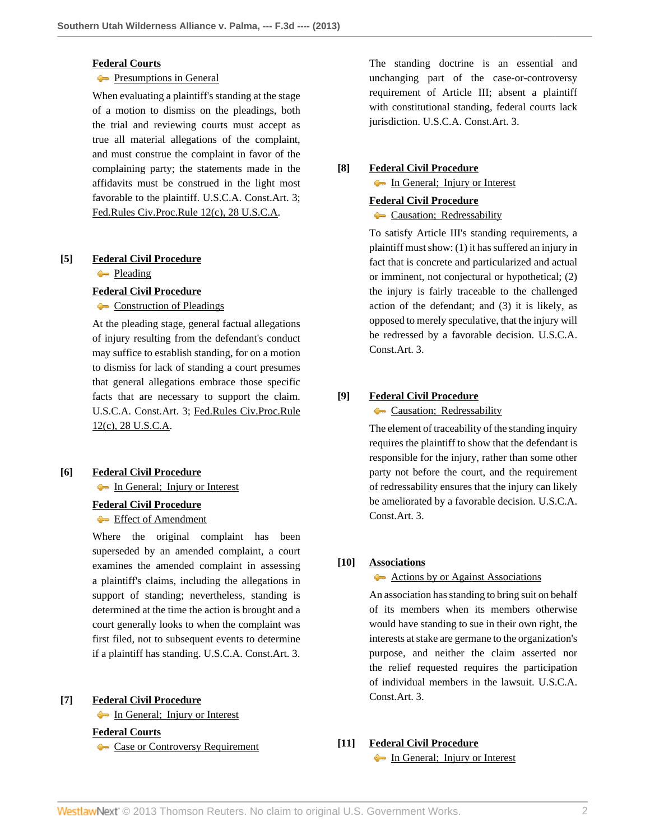## **[Federal Courts](http://www.westlaw.com/Browse/Home/KeyNumber/170B/View.html?docGuid=I88675e9759b311e280719c3f0e80bdd0&originationContext=document&vr=3.0&rs=cblt1.0&transitionType=DocumentItem&contextData=(sc.Search))**

### **[Presumptions in General](http://www.westlaw.com/Browse/Home/KeyNumber/170Bk791/View.html?docGuid=I88675e9759b311e280719c3f0e80bdd0&originationContext=document&vr=3.0&rs=cblt1.0&transitionType=DocumentItem&contextData=(sc.Search))**

When evaluating a plaintiff's standing at the stage of a motion to dismiss on the pleadings, both the trial and reviewing courts must accept as true all material allegations of the complaint, and must construe the complaint in favor of the complaining party; the statements made in the affidavits must be construed in the light most favorable to the plaintiff. U.S.C.A. Const.Art. 3; [Fed.Rules Civ.Proc.Rule 12\(c\), 28 U.S.C.A.](http://www.westlaw.com/Link/Document/FullText?findType=L&pubNum=1004365&cite=USFRCPR12&originatingDoc=I88675e9759b311e280719c3f0e80bdd0&refType=LQ&originationContext=document&vr=3.0&rs=cblt1.0&transitionType=DocumentItem&contextData=(sc.Search))

## <span id="page-1-0"></span>**[\[5\]](#page-7-4) [Federal Civil Procedure](http://www.westlaw.com/Browse/Home/KeyNumber/170A/View.html?docGuid=I88675e9759b311e280719c3f0e80bdd0&originationContext=document&vr=3.0&rs=cblt1.0&transitionType=DocumentItem&contextData=(sc.Search))**

**[Pleading](http://www.westlaw.com/Browse/Home/KeyNumber/170Ak103.5/View.html?docGuid=I88675e9759b311e280719c3f0e80bdd0&originationContext=document&vr=3.0&rs=cblt1.0&transitionType=DocumentItem&contextData=(sc.Search))** 

#### **[Federal Civil Procedure](http://www.westlaw.com/Browse/Home/KeyNumber/170A/View.html?docGuid=I88675e9759b311e280719c3f0e80bdd0&originationContext=document&vr=3.0&rs=cblt1.0&transitionType=DocumentItem&contextData=(sc.Search))**

[Construction of Pleadings](http://www.westlaw.com/Browse/Home/KeyNumber/170Ak1829/View.html?docGuid=I88675e9759b311e280719c3f0e80bdd0&originationContext=document&vr=3.0&rs=cblt1.0&transitionType=DocumentItem&contextData=(sc.Search))

At the pleading stage, general factual allegations of injury resulting from the defendant's conduct may suffice to establish standing, for on a motion to dismiss for lack of standing a court presumes that general allegations embrace those specific facts that are necessary to support the claim. U.S.C.A. Const.Art. 3; [Fed.Rules Civ.Proc.Rule](http://www.westlaw.com/Link/Document/FullText?findType=L&pubNum=1004365&cite=USFRCPR12&originatingDoc=I88675e9759b311e280719c3f0e80bdd0&refType=LQ&originationContext=document&vr=3.0&rs=cblt1.0&transitionType=DocumentItem&contextData=(sc.Search)) [12\(c\), 28 U.S.C.A.](http://www.westlaw.com/Link/Document/FullText?findType=L&pubNum=1004365&cite=USFRCPR12&originatingDoc=I88675e9759b311e280719c3f0e80bdd0&refType=LQ&originationContext=document&vr=3.0&rs=cblt1.0&transitionType=DocumentItem&contextData=(sc.Search))

# <span id="page-1-1"></span>**[\[6\]](#page-7-5) [Federal Civil Procedure](http://www.westlaw.com/Browse/Home/KeyNumber/170A/View.html?docGuid=I88675e9759b311e280719c3f0e80bdd0&originationContext=document&vr=3.0&rs=cblt1.0&transitionType=DocumentItem&contextData=(sc.Search))**

**In General**; Injury or Interest

#### **[Federal Civil Procedure](http://www.westlaw.com/Browse/Home/KeyNumber/170A/View.html?docGuid=I88675e9759b311e280719c3f0e80bdd0&originationContext=document&vr=3.0&rs=cblt1.0&transitionType=DocumentItem&contextData=(sc.Search))**

**[Effect of Amendment](http://www.westlaw.com/Browse/Home/KeyNumber/170Ak852/View.html?docGuid=I88675e9759b311e280719c3f0e80bdd0&originationContext=document&vr=3.0&rs=cblt1.0&transitionType=DocumentItem&contextData=(sc.Search))** 

Where the original complaint has been superseded by an amended complaint, a court examines the amended complaint in assessing a plaintiff's claims, including the allegations in support of standing; nevertheless, standing is determined at the time the action is brought and a court generally looks to when the complaint was first filed, not to subsequent events to determine if a plaintiff has standing. U.S.C.A. Const.Art. 3.

## <span id="page-1-2"></span>**[\[7\]](#page-7-6) [Federal Civil Procedure](http://www.westlaw.com/Browse/Home/KeyNumber/170A/View.html?docGuid=I88675e9759b311e280719c3f0e80bdd0&originationContext=document&vr=3.0&rs=cblt1.0&transitionType=DocumentItem&contextData=(sc.Search))**

[In General; Injury or Interest](http://www.westlaw.com/Browse/Home/KeyNumber/170Ak103.2/View.html?docGuid=I88675e9759b311e280719c3f0e80bdd0&originationContext=document&vr=3.0&rs=cblt1.0&transitionType=DocumentItem&contextData=(sc.Search))

**[Federal Courts](http://www.westlaw.com/Browse/Home/KeyNumber/170B/View.html?docGuid=I88675e9759b311e280719c3f0e80bdd0&originationContext=document&vr=3.0&rs=cblt1.0&transitionType=DocumentItem&contextData=(sc.Search))**

[Case or Controversy Requirement](http://www.westlaw.com/Browse/Home/KeyNumber/170Bk12/View.html?docGuid=I88675e9759b311e280719c3f0e80bdd0&originationContext=document&vr=3.0&rs=cblt1.0&transitionType=DocumentItem&contextData=(sc.Search))

The standing doctrine is an essential and unchanging part of the case-or-controversy requirement of Article III; absent a plaintiff with constitutional standing, federal courts lack jurisdiction. U.S.C.A. Const.Art. 3.

# <span id="page-1-3"></span>**[\[8\]](#page-7-7) [Federal Civil Procedure](http://www.westlaw.com/Browse/Home/KeyNumber/170A/View.html?docGuid=I88675e9759b311e280719c3f0e80bdd0&originationContext=document&vr=3.0&rs=cblt1.0&transitionType=DocumentItem&contextData=(sc.Search))**

[In General; Injury or Interest](http://www.westlaw.com/Browse/Home/KeyNumber/170Ak103.2/View.html?docGuid=I88675e9759b311e280719c3f0e80bdd0&originationContext=document&vr=3.0&rs=cblt1.0&transitionType=DocumentItem&contextData=(sc.Search))

## **[Federal Civil Procedure](http://www.westlaw.com/Browse/Home/KeyNumber/170A/View.html?docGuid=I88675e9759b311e280719c3f0e80bdd0&originationContext=document&vr=3.0&rs=cblt1.0&transitionType=DocumentItem&contextData=(sc.Search))**

# **Causation**; Redressability

To satisfy Article III's standing requirements, a plaintiff must show: (1) it has suffered an injury in fact that is concrete and particularized and actual or imminent, not conjectural or hypothetical; (2) the injury is fairly traceable to the challenged action of the defendant; and (3) it is likely, as opposed to merely speculative, that the injury will be redressed by a favorable decision. U.S.C.A. Const.Art. 3.

# <span id="page-1-4"></span>**[\[9\]](#page-7-8) [Federal Civil Procedure](http://www.westlaw.com/Browse/Home/KeyNumber/170A/View.html?docGuid=I88675e9759b311e280719c3f0e80bdd0&originationContext=document&vr=3.0&rs=cblt1.0&transitionType=DocumentItem&contextData=(sc.Search))**

**Causation**; Redressability

The element of traceability of the standing inquiry requires the plaintiff to show that the defendant is responsible for the injury, rather than some other party not before the court, and the requirement of redressability ensures that the injury can likely be ameliorated by a favorable decision. U.S.C.A. Const.Art. 3.

#### <span id="page-1-5"></span>**[\[10\]](#page-8-0) [Associations](http://www.westlaw.com/Browse/Home/KeyNumber/41/View.html?docGuid=I88675e9759b311e280719c3f0e80bdd0&originationContext=document&vr=3.0&rs=cblt1.0&transitionType=DocumentItem&contextData=(sc.Search))**

### [Actions by or Against Associations](http://www.westlaw.com/Browse/Home/KeyNumber/41k20/View.html?docGuid=I88675e9759b311e280719c3f0e80bdd0&originationContext=document&vr=3.0&rs=cblt1.0&transitionType=DocumentItem&contextData=(sc.Search))

An association has standing to bring suit on behalf of its members when its members otherwise would have standing to sue in their own right, the interests at stake are germane to the organization's purpose, and neither the claim asserted nor the relief requested requires the participation of individual members in the lawsuit. U.S.C.A. Const.Art. 3.

<span id="page-1-6"></span>**[\[11\]](#page-9-0) [Federal Civil Procedure](http://www.westlaw.com/Browse/Home/KeyNumber/170A/View.html?docGuid=I88675e9759b311e280719c3f0e80bdd0&originationContext=document&vr=3.0&rs=cblt1.0&transitionType=DocumentItem&contextData=(sc.Search))**

[In General; Injury or Interest](http://www.westlaw.com/Browse/Home/KeyNumber/170Ak103.2/View.html?docGuid=I88675e9759b311e280719c3f0e80bdd0&originationContext=document&vr=3.0&rs=cblt1.0&transitionType=DocumentItem&contextData=(sc.Search))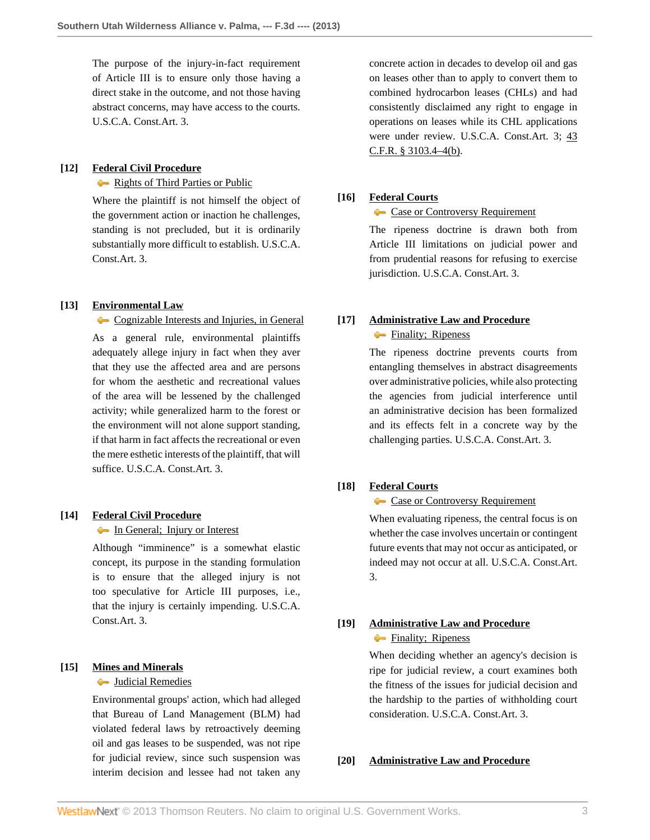The purpose of the injury-in-fact requirement of Article III is to ensure only those having a direct stake in the outcome, and not those having abstract concerns, may have access to the courts. U.S.C.A. Const.Art. 3.

## <span id="page-2-1"></span>**[\[12\]](#page-9-1) [Federal Civil Procedure](http://www.westlaw.com/Browse/Home/KeyNumber/170A/View.html?docGuid=I88675e9759b311e280719c3f0e80bdd0&originationContext=document&vr=3.0&rs=cblt1.0&transitionType=DocumentItem&contextData=(sc.Search))**

[Rights of Third Parties or Public](http://www.westlaw.com/Browse/Home/KeyNumber/170Ak103.4/View.html?docGuid=I88675e9759b311e280719c3f0e80bdd0&originationContext=document&vr=3.0&rs=cblt1.0&transitionType=DocumentItem&contextData=(sc.Search))

Where the plaintiff is not himself the object of the government action or inaction he challenges, standing is not precluded, but it is ordinarily substantially more difficult to establish. U.S.C.A. Const.Art. 3.

### <span id="page-2-2"></span>**[\[13\]](#page-9-2) [Environmental Law](http://www.westlaw.com/Browse/Home/KeyNumber/149E/View.html?docGuid=I88675e9759b311e280719c3f0e80bdd0&originationContext=document&vr=3.0&rs=cblt1.0&transitionType=DocumentItem&contextData=(sc.Search))**

[Cognizable Interests and Injuries, in General](http://www.westlaw.com/Browse/Home/KeyNumber/149Ek651/View.html?docGuid=I88675e9759b311e280719c3f0e80bdd0&originationContext=document&vr=3.0&rs=cblt1.0&transitionType=DocumentItem&contextData=(sc.Search)) As a general rule, environmental plaintiffs adequately allege injury in fact when they aver that they use the affected area and are persons for whom the aesthetic and recreational values of the area will be lessened by the challenged activity; while generalized harm to the forest or the environment will not alone support standing, if that harm in fact affects the recreational or even the mere esthetic interests of the plaintiff, that will suffice. U.S.C.A. Const.Art. 3.

#### <span id="page-2-3"></span>**[\[14\]](#page-10-0) [Federal Civil Procedure](http://www.westlaw.com/Browse/Home/KeyNumber/170A/View.html?docGuid=I88675e9759b311e280719c3f0e80bdd0&originationContext=document&vr=3.0&rs=cblt1.0&transitionType=DocumentItem&contextData=(sc.Search))**

## **[In General; Injury or Interest](http://www.westlaw.com/Browse/Home/KeyNumber/170Ak103.2/View.html?docGuid=I88675e9759b311e280719c3f0e80bdd0&originationContext=document&vr=3.0&rs=cblt1.0&transitionType=DocumentItem&contextData=(sc.Search))**

Although "imminence" is a somewhat elastic concept, its purpose in the standing formulation is to ensure that the alleged injury is not too speculative for Article III purposes, i.e., that the injury is certainly impending. U.S.C.A. Const.Art. 3.

### <span id="page-2-0"></span>**[\[15\]](#page-11-0) [Mines and Minerals](http://www.westlaw.com/Browse/Home/KeyNumber/260/View.html?docGuid=I88675e9759b311e280719c3f0e80bdd0&originationContext=document&vr=3.0&rs=cblt1.0&transitionType=DocumentItem&contextData=(sc.Search))**

## **[Judicial Remedies](http://www.westlaw.com/Browse/Home/KeyNumber/260k5.1(9)/View.html?docGuid=I88675e9759b311e280719c3f0e80bdd0&originationContext=document&vr=3.0&rs=cblt1.0&transitionType=DocumentItem&contextData=(sc.Search))**

Environmental groups' action, which had alleged that Bureau of Land Management (BLM) had violated federal laws by retroactively deeming oil and gas leases to be suspended, was not ripe for judicial review, since such suspension was interim decision and lessee had not taken any

concrete action in decades to develop oil and gas on leases other than to apply to convert them to combined hydrocarbon leases (CHLs) and had consistently disclaimed any right to engage in operations on leases while its CHL applications were under review. U.S.C.A. Const.Art. 3; [43](http://www.westlaw.com/Link/Document/FullText?findType=L&pubNum=1000547&cite=43CFRS3103.4-4&originationContext=document&vr=3.0&rs=cblt1.0&transitionType=DocumentItem&contextData=(sc.Search)#co_pp_a83b000018c76) [C.F.R. § 3103.4–4\(b\).](http://www.westlaw.com/Link/Document/FullText?findType=L&pubNum=1000547&cite=43CFRS3103.4-4&originationContext=document&vr=3.0&rs=cblt1.0&transitionType=DocumentItem&contextData=(sc.Search)#co_pp_a83b000018c76)

### <span id="page-2-4"></span>**[\[16\]](#page-11-1) [Federal Courts](http://www.westlaw.com/Browse/Home/KeyNumber/170B/View.html?docGuid=I88675e9759b311e280719c3f0e80bdd0&originationContext=document&vr=3.0&rs=cblt1.0&transitionType=DocumentItem&contextData=(sc.Search))**

[Case or Controversy Requirement](http://www.westlaw.com/Browse/Home/KeyNumber/170Bk12/View.html?docGuid=I88675e9759b311e280719c3f0e80bdd0&originationContext=document&vr=3.0&rs=cblt1.0&transitionType=DocumentItem&contextData=(sc.Search))

The ripeness doctrine is drawn both from Article III limitations on judicial power and from prudential reasons for refusing to exercise jurisdiction. U.S.C.A. Const.Art. 3.

## <span id="page-2-5"></span>**[\[17\]](#page-11-2) [Administrative Law and Procedure](http://www.westlaw.com/Browse/Home/KeyNumber/15A/View.html?docGuid=I88675e9759b311e280719c3f0e80bdd0&originationContext=document&vr=3.0&rs=cblt1.0&transitionType=DocumentItem&contextData=(sc.Search))**

### **Finality**; Ripeness

The ripeness doctrine prevents courts from entangling themselves in abstract disagreements over administrative policies, while also protecting the agencies from judicial interference until an administrative decision has been formalized and its effects felt in a concrete way by the challenging parties. U.S.C.A. Const.Art. 3.

#### <span id="page-2-6"></span>**[\[18\]](#page-11-3) [Federal Courts](http://www.westlaw.com/Browse/Home/KeyNumber/170B/View.html?docGuid=I88675e9759b311e280719c3f0e80bdd0&originationContext=document&vr=3.0&rs=cblt1.0&transitionType=DocumentItem&contextData=(sc.Search))**

#### [Case or Controversy Requirement](http://www.westlaw.com/Browse/Home/KeyNumber/170Bk12/View.html?docGuid=I88675e9759b311e280719c3f0e80bdd0&originationContext=document&vr=3.0&rs=cblt1.0&transitionType=DocumentItem&contextData=(sc.Search))

When evaluating ripeness, the central focus is on whether the case involves uncertain or contingent future events that may not occur as anticipated, or indeed may not occur at all. U.S.C.A. Const.Art. 3.

## <span id="page-2-7"></span>**[\[19\]](#page-11-4) [Administrative Law and Procedure](http://www.westlaw.com/Browse/Home/KeyNumber/15A/View.html?docGuid=I88675e9759b311e280719c3f0e80bdd0&originationContext=document&vr=3.0&rs=cblt1.0&transitionType=DocumentItem&contextData=(sc.Search))**

## **Finality**; Ripeness

When deciding whether an agency's decision is ripe for judicial review, a court examines both the fitness of the issues for judicial decision and the hardship to the parties of withholding court consideration. U.S.C.A. Const.Art. 3.

#### <span id="page-2-8"></span>**[\[20\]](#page-11-5) [Administrative Law and Procedure](http://www.westlaw.com/Browse/Home/KeyNumber/15A/View.html?docGuid=I88675e9759b311e280719c3f0e80bdd0&originationContext=document&vr=3.0&rs=cblt1.0&transitionType=DocumentItem&contextData=(sc.Search))**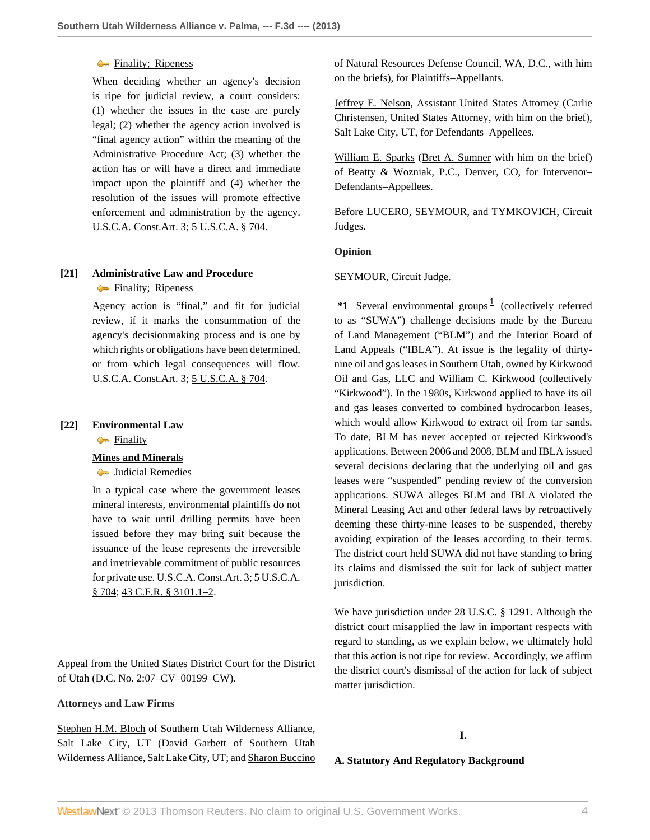### **Finality**; Ripeness

When deciding whether an agency's decision is ripe for judicial review, a court considers: (1) whether the issues in the case are purely legal; (2) whether the agency action involved is "final agency action" within the meaning of the Administrative Procedure Act; (3) whether the action has or will have a direct and immediate impact upon the plaintiff and (4) whether the resolution of the issues will promote effective enforcement and administration by the agency. U.S.C.A. Const.Art. 3; [5 U.S.C.A. § 704.](http://www.westlaw.com/Link/Document/FullText?findType=L&pubNum=1000546&cite=5USCAS704&originatingDoc=I88675e9759b311e280719c3f0e80bdd0&refType=LQ&originationContext=document&vr=3.0&rs=cblt1.0&transitionType=DocumentItem&contextData=(sc.Search))

## <span id="page-3-0"></span>**[\[21\]](#page-11-6) [Administrative Law and Procedure](http://www.westlaw.com/Browse/Home/KeyNumber/15A/View.html?docGuid=I88675e9759b311e280719c3f0e80bdd0&originationContext=document&vr=3.0&rs=cblt1.0&transitionType=DocumentItem&contextData=(sc.Search))**

**Finality**; Ripeness

Agency action is "final," and fit for judicial review, if it marks the consummation of the agency's decisionmaking process and is one by which rights or obligations have been determined, or from which legal consequences will flow. U.S.C.A. Const.Art. 3; [5 U.S.C.A. § 704.](http://www.westlaw.com/Link/Document/FullText?findType=L&pubNum=1000546&cite=5USCAS704&originatingDoc=I88675e9759b311e280719c3f0e80bdd0&refType=LQ&originationContext=document&vr=3.0&rs=cblt1.0&transitionType=DocumentItem&contextData=(sc.Search))

#### <span id="page-3-1"></span>**[\[22\]](#page-11-7) [Environmental Law](http://www.westlaw.com/Browse/Home/KeyNumber/149E/View.html?docGuid=I88675e9759b311e280719c3f0e80bdd0&originationContext=document&vr=3.0&rs=cblt1.0&transitionType=DocumentItem&contextData=(sc.Search))**

 $\leftarrow$  [Finality](http://www.westlaw.com/Browse/Home/KeyNumber/149Ek661/View.html?docGuid=I88675e9759b311e280719c3f0e80bdd0&originationContext=document&vr=3.0&rs=cblt1.0&transitionType=DocumentItem&contextData=(sc.Search))

#### **[Mines and Minerals](http://www.westlaw.com/Browse/Home/KeyNumber/260/View.html?docGuid=I88675e9759b311e280719c3f0e80bdd0&originationContext=document&vr=3.0&rs=cblt1.0&transitionType=DocumentItem&contextData=(sc.Search))**

**[Judicial Remedies](http://www.westlaw.com/Browse/Home/KeyNumber/260k5.1(9)/View.html?docGuid=I88675e9759b311e280719c3f0e80bdd0&originationContext=document&vr=3.0&rs=cblt1.0&transitionType=DocumentItem&contextData=(sc.Search))** 

In a typical case where the government leases mineral interests, environmental plaintiffs do not have to wait until drilling permits have been issued before they may bring suit because the issuance of the lease represents the irreversible and irretrievable commitment of public resources for private use. U.S.C.A. Const.Art. 3; [5 U.S.C.A.](http://www.westlaw.com/Link/Document/FullText?findType=L&pubNum=1000546&cite=5USCAS704&originatingDoc=I88675e9759b311e280719c3f0e80bdd0&refType=LQ&originationContext=document&vr=3.0&rs=cblt1.0&transitionType=DocumentItem&contextData=(sc.Search)) [§ 704;](http://www.westlaw.com/Link/Document/FullText?findType=L&pubNum=1000546&cite=5USCAS704&originatingDoc=I88675e9759b311e280719c3f0e80bdd0&refType=LQ&originationContext=document&vr=3.0&rs=cblt1.0&transitionType=DocumentItem&contextData=(sc.Search)) [43 C.F.R. § 3101.1–2](http://www.westlaw.com/Link/Document/FullText?findType=L&pubNum=1000547&cite=43CFRS3101.1-2&originatingDoc=I88675e9759b311e280719c3f0e80bdd0&refType=LQ&originationContext=document&vr=3.0&rs=cblt1.0&transitionType=DocumentItem&contextData=(sc.Search)).

Appeal from the United States District Court for the District of Utah (D.C. No. 2:07–CV–00199–CW).

## **Attorneys and Law Firms**

[Stephen H.M. Bloch](http://www.westlaw.com/Link/Document/FullText?findType=h&pubNum=176284&cite=0340553601&originatingDoc=I88675e9759b311e280719c3f0e80bdd0&refType=RQ&originationContext=document&vr=3.0&rs=cblt1.0&transitionType=DocumentItem&contextData=(sc.Search)) of Southern Utah Wilderness Alliance, Salt Lake City, UT (David Garbett of Southern Utah Wilderness Alliance, Salt Lake City, UT; and [Sharon Buccino](http://www.westlaw.com/Link/Document/FullText?findType=h&pubNum=176284&cite=0259198101&originatingDoc=I88675e9759b311e280719c3f0e80bdd0&refType=RQ&originationContext=document&vr=3.0&rs=cblt1.0&transitionType=DocumentItem&contextData=(sc.Search)) of Natural Resources Defense Council, WA, D.C., with him on the briefs), for Plaintiffs–Appellants.

[Jeffrey E. Nelson,](http://www.westlaw.com/Link/Document/FullText?findType=h&pubNum=176284&cite=0182533501&originatingDoc=I88675e9759b311e280719c3f0e80bdd0&refType=RQ&originationContext=document&vr=3.0&rs=cblt1.0&transitionType=DocumentItem&contextData=(sc.Search)) Assistant United States Attorney (Carlie Christensen, United States Attorney, with him on the brief), Salt Lake City, UT, for Defendants–Appellees.

[William E. Sparks](http://www.westlaw.com/Link/Document/FullText?findType=h&pubNum=176284&cite=0115101101&originatingDoc=I88675e9759b311e280719c3f0e80bdd0&refType=RQ&originationContext=document&vr=3.0&rs=cblt1.0&transitionType=DocumentItem&contextData=(sc.Search)) ([Bret A. Sumner](http://www.westlaw.com/Link/Document/FullText?findType=h&pubNum=176284&cite=0112747801&originatingDoc=I88675e9759b311e280719c3f0e80bdd0&refType=RQ&originationContext=document&vr=3.0&rs=cblt1.0&transitionType=DocumentItem&contextData=(sc.Search)) with him on the brief) of Beatty & Wozniak, P.C., Denver, CO, for Intervenor– Defendants–Appellees.

Before [LUCERO](http://www.westlaw.com/Link/Document/FullText?findType=h&pubNum=176284&cite=0255848601&originatingDoc=I88675e9759b311e280719c3f0e80bdd0&refType=RQ&originationContext=document&vr=3.0&rs=cblt1.0&transitionType=DocumentItem&contextData=(sc.Search)), [SEYMOUR](http://www.westlaw.com/Link/Document/FullText?findType=h&pubNum=176284&cite=0174671001&originatingDoc=I88675e9759b311e280719c3f0e80bdd0&refType=RQ&originationContext=document&vr=3.0&rs=cblt1.0&transitionType=DocumentItem&contextData=(sc.Search)), and [TYMKOVICH,](http://www.westlaw.com/Link/Document/FullText?findType=h&pubNum=176284&cite=0239801101&originatingDoc=I88675e9759b311e280719c3f0e80bdd0&refType=RQ&originationContext=document&vr=3.0&rs=cblt1.0&transitionType=DocumentItem&contextData=(sc.Search)) Circuit Judges.

#### **Opinion**

#### [SEYMOUR,](http://www.westlaw.com/Link/Document/FullText?findType=h&pubNum=176284&cite=0174671001&originatingDoc=I88675e9759b311e280719c3f0e80bdd0&refType=RQ&originationContext=document&vr=3.0&rs=cblt1.0&transitionType=DocumentItem&contextData=(sc.Search)) Circuit Judge.

<span id="page-3-2"></span>\*[1](#page-13-0) Several environmental groups<sup>1</sup> (collectively referred to as "SUWA") challenge decisions made by the Bureau of Land Management ("BLM") and the Interior Board of Land Appeals ("IBLA"). At issue is the legality of thirtynine oil and gas leases in Southern Utah, owned by Kirkwood Oil and Gas, LLC and William C. Kirkwood (collectively "Kirkwood"). In the 1980s, Kirkwood applied to have its oil and gas leases converted to combined hydrocarbon leases, which would allow Kirkwood to extract oil from tar sands. To date, BLM has never accepted or rejected Kirkwood's applications. Between 2006 and 2008, BLM and IBLA issued several decisions declaring that the underlying oil and gas leases were "suspended" pending review of the conversion applications. SUWA alleges BLM and IBLA violated the Mineral Leasing Act and other federal laws by retroactively deeming these thirty-nine leases to be suspended, thereby avoiding expiration of the leases according to their terms. The district court held SUWA did not have standing to bring its claims and dismissed the suit for lack of subject matter jurisdiction.

We have jurisdiction under [28 U.S.C. § 1291](http://www.westlaw.com/Link/Document/FullText?findType=L&pubNum=1000546&cite=28USCAS1291&originatingDoc=I88675e9759b311e280719c3f0e80bdd0&refType=LQ&originationContext=document&vr=3.0&rs=cblt1.0&transitionType=DocumentItem&contextData=(sc.Search)). Although the district court misapplied the law in important respects with regard to standing, as we explain below, we ultimately hold that this action is not ripe for review. Accordingly, we affirm the district court's dismissal of the action for lack of subject matter jurisdiction.

## **I.**

**A. Statutory And Regulatory Background**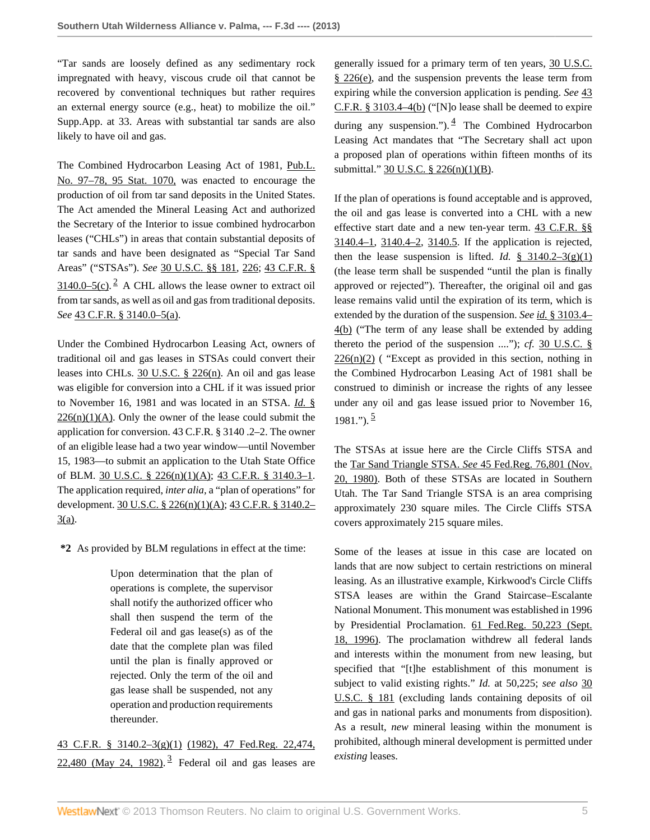"Tar sands are loosely defined as any sedimentary rock impregnated with heavy, viscous crude oil that cannot be recovered by conventional techniques but rather requires an external energy source (e.g., heat) to mobilize the oil." Supp.App. at 33. Areas with substantial tar sands are also likely to have oil and gas.

The Combined Hydrocarbon Leasing Act of 1981, [Pub.L.](http://www.westlaw.com/Link/Document/FullText?findType=l&pubNum=1077005&cite=UUID(I9447D41398-5B4BC78DE52-6A7D2D14651)&originationContext=document&vr=3.0&rs=cblt1.0&transitionType=DocumentItem&contextData=(sc.Search)) [No. 97–78, 95 Stat. 1070,](http://www.westlaw.com/Link/Document/FullText?findType=l&pubNum=1077005&cite=UUID(I9447D41398-5B4BC78DE52-6A7D2D14651)&originationContext=document&vr=3.0&rs=cblt1.0&transitionType=DocumentItem&contextData=(sc.Search)) was enacted to encourage the production of oil from tar sand deposits in the United States. The Act amended the Mineral Leasing Act and authorized the Secretary of the Interior to issue combined hydrocarbon leases ("CHLs") in areas that contain substantial deposits of tar sands and have been designated as "Special Tar Sand Areas" ("STSAs"). *See* [30 U.S.C. §§ 181,](http://www.westlaw.com/Link/Document/FullText?findType=L&pubNum=1000546&cite=30USCAS181&originatingDoc=I88675e9759b311e280719c3f0e80bdd0&refType=LQ&originationContext=document&vr=3.0&rs=cblt1.0&transitionType=DocumentItem&contextData=(sc.Search)) [226](http://www.westlaw.com/Link/Document/FullText?findType=L&pubNum=1000546&cite=30USCAS226&originatingDoc=I88675e9759b311e280719c3f0e80bdd0&refType=LQ&originationContext=document&vr=3.0&rs=cblt1.0&transitionType=DocumentItem&contextData=(sc.Search)); [43 C.F.R. §](http://www.westlaw.com/Link/Document/FullText?findType=L&pubNum=1000547&cite=43CFRS3140.0-5&originationContext=document&vr=3.0&rs=cblt1.0&transitionType=DocumentItem&contextData=(sc.Search)#co_pp_4b24000003ba5)  $3140.0 - 5(c)$ . <sup>[2](#page-13-1)</sup> A CHL allows the lease owner to extract oil from tar sands, as well as oil and gas from traditional deposits. *See* [43 C.F.R. § 3140.0–5\(a\).](http://www.westlaw.com/Link/Document/FullText?findType=L&pubNum=1000547&cite=43CFRS3140.0-5&originationContext=document&vr=3.0&rs=cblt1.0&transitionType=DocumentItem&contextData=(sc.Search)#co_pp_8b3b0000958a4)

<span id="page-4-0"></span>Under the Combined Hydrocarbon Leasing Act, owners of traditional oil and gas leases in STSAs could convert their leases into CHLs. [30 U.S.C. § 226\(n\).](http://www.westlaw.com/Link/Document/FullText?findType=L&pubNum=1000546&cite=30USCAS226&originationContext=document&vr=3.0&rs=cblt1.0&transitionType=DocumentItem&contextData=(sc.Search)#co_pp_d92f0000cce47) An oil and gas lease was eligible for conversion into a CHL if it was issued prior to November 16, 1981 and was located in an STSA. *[Id.](http://www.westlaw.com/Link/Document/FullText?findType=L&pubNum=1000546&cite=30USCAS226&originationContext=document&vr=3.0&rs=cblt1.0&transitionType=DocumentItem&contextData=(sc.Search)#co_pp_f77000003c5c2)* §  $226(n)(1)(A)$ . Only the owner of the lease could submit the application for conversion. 43 C.F.R. § 3140 .2–2. The owner of an eligible lease had a two year window—until November 15, 1983—to submit an application to the Utah State Office of BLM. [30 U.S.C. § 226\(n\)\(1\)\(A\);](http://www.westlaw.com/Link/Document/FullText?findType=L&pubNum=1000546&cite=30USCAS226&originationContext=document&vr=3.0&rs=cblt1.0&transitionType=DocumentItem&contextData=(sc.Search)#co_pp_f77000003c5c2) [43 C.F.R. § 3140.3–1](http://www.westlaw.com/Link/Document/FullText?findType=L&pubNum=1000547&cite=43CFRS3140.3-1&originatingDoc=I88675e9759b311e280719c3f0e80bdd0&refType=LQ&originationContext=document&vr=3.0&rs=cblt1.0&transitionType=DocumentItem&contextData=(sc.Search)). The application required, *inter alia,* a "plan of operations" for development. [30 U.S.C. § 226\(n\)\(1\)\(A\)](http://www.westlaw.com/Link/Document/FullText?findType=L&pubNum=1000546&cite=30USCAS226&originationContext=document&vr=3.0&rs=cblt1.0&transitionType=DocumentItem&contextData=(sc.Search)#co_pp_f77000003c5c2); [43 C.F.R. § 3140.2–](http://www.westlaw.com/Link/Document/FullText?findType=L&pubNum=1000547&cite=43CFRS3140.2-3&originationContext=document&vr=3.0&rs=cblt1.0&transitionType=DocumentItem&contextData=(sc.Search)#co_pp_8b3b0000958a4)  $3(a)$ .

**\*2** As provided by BLM regulations in effect at the time:

Upon determination that the plan of operations is complete, the supervisor shall notify the authorized officer who shall then suspend the term of the Federal oil and gas lease(s) as of the date that the complete plan was filed until the plan is finally approved or rejected. Only the term of the oil and gas lease shall be suspended, not any operation and production requirements thereunder.

<span id="page-4-1"></span>[43 C.F.R. § 3140.2–3\(g\)\(1\)](http://www.westlaw.com/Link/Document/FullText?findType=L&pubNum=1000547&cite=43CFRS3140.2-3&originationContext=document&vr=3.0&rs=cblt1.0&transitionType=DocumentItem&contextData=(sc.Search)#co_pp_4d690000c9482) [\(1982\), 47 Fed.Reg. 22,474,](http://www.westlaw.com/Link/Document/FullText?findType=Y&serNum=0102358840&pubNum=1037&originationContext=document&vr=3.0&rs=cblt1.0&transitionType=DocumentItem&contextData=(sc.Search)#co_pp_sp_1037_22474)  $22,480$  (May 24, 1982).<sup>[3](#page-13-2)</sup> Federal oil and gas leases are

<span id="page-4-2"></span>generally issued for a primary term of ten years, [30 U.S.C.](http://www.westlaw.com/Link/Document/FullText?findType=L&pubNum=1000546&cite=30USCAS226&originationContext=document&vr=3.0&rs=cblt1.0&transitionType=DocumentItem&contextData=(sc.Search)#co_pp_7fdd00001ca15) [§ 226\(e\),](http://www.westlaw.com/Link/Document/FullText?findType=L&pubNum=1000546&cite=30USCAS226&originationContext=document&vr=3.0&rs=cblt1.0&transitionType=DocumentItem&contextData=(sc.Search)#co_pp_7fdd00001ca15) and the suspension prevents the lease term from expiring while the conversion application is pending. *See* [43](http://www.westlaw.com/Link/Document/FullText?findType=L&pubNum=1000547&cite=43CFRS3103.4-4&originationContext=document&vr=3.0&rs=cblt1.0&transitionType=DocumentItem&contextData=(sc.Search)#co_pp_a83b000018c76) [C.F.R. § 3103.4–4\(b\)](http://www.westlaw.com/Link/Document/FullText?findType=L&pubNum=1000547&cite=43CFRS3103.4-4&originationContext=document&vr=3.0&rs=cblt1.0&transitionType=DocumentItem&contextData=(sc.Search)#co_pp_a83b000018c76) ("[N]o lease shall be deemed to expire during any suspension."). $\frac{4}{ }$  $\frac{4}{ }$  $\frac{4}{ }$  The Combined Hydrocarbon Leasing Act mandates that "The Secretary shall act upon a proposed plan of operations within fifteen months of its submittal." [30 U.S.C. § 226\(n\)\(1\)\(B\).](http://www.westlaw.com/Link/Document/FullText?findType=L&pubNum=1000546&cite=30USCAS226&originationContext=document&vr=3.0&rs=cblt1.0&transitionType=DocumentItem&contextData=(sc.Search)#co_pp_3e73000050140)

If the plan of operations is found acceptable and is approved, the oil and gas lease is converted into a CHL with a new effective start date and a new ten-year term. [43 C.F.R. §§](http://www.westlaw.com/Link/Document/FullText?findType=L&pubNum=1000547&cite=43CFRS3140.4-1&originatingDoc=I88675e9759b311e280719c3f0e80bdd0&refType=LQ&originationContext=document&vr=3.0&rs=cblt1.0&transitionType=DocumentItem&contextData=(sc.Search)) [3140.4–1](http://www.westlaw.com/Link/Document/FullText?findType=L&pubNum=1000547&cite=43CFRS3140.4-1&originatingDoc=I88675e9759b311e280719c3f0e80bdd0&refType=LQ&originationContext=document&vr=3.0&rs=cblt1.0&transitionType=DocumentItem&contextData=(sc.Search)), [3140.4–2,](http://www.westlaw.com/Link/Document/FullText?findType=L&pubNum=1000547&cite=43CFRS3140.4-2&originatingDoc=I88675e9759b311e280719c3f0e80bdd0&refType=LQ&originationContext=document&vr=3.0&rs=cblt1.0&transitionType=DocumentItem&contextData=(sc.Search)) [3140.5.](http://www.westlaw.com/Link/Document/FullText?findType=L&pubNum=1000547&cite=43CFRS3140.5&originatingDoc=I88675e9759b311e280719c3f0e80bdd0&refType=LQ&originationContext=document&vr=3.0&rs=cblt1.0&transitionType=DocumentItem&contextData=(sc.Search)) If the application is rejected, then the lease suspension is lifted. *Id.*  $\frac{8}{3}$  3140.2–3(g)(1) (the lease term shall be suspended "until the plan is finally approved or rejected"). Thereafter, the original oil and gas lease remains valid until the expiration of its term, which is extended by the duration of the suspension. *See id.* [§ 3103.4–](http://www.westlaw.com/Link/Document/FullText?findType=L&pubNum=1000547&cite=43CFRS3103.4-4&originationContext=document&vr=3.0&rs=cblt1.0&transitionType=DocumentItem&contextData=(sc.Search)#co_pp_a83b000018c76) [4\(b\)](http://www.westlaw.com/Link/Document/FullText?findType=L&pubNum=1000547&cite=43CFRS3103.4-4&originationContext=document&vr=3.0&rs=cblt1.0&transitionType=DocumentItem&contextData=(sc.Search)#co_pp_a83b000018c76) ("The term of any lease shall be extended by adding thereto the period of the suspension ...."); *cf.* [30 U.S.C. §](http://www.westlaw.com/Link/Document/FullText?findType=L&pubNum=1000546&cite=30USCAS226&originationContext=document&vr=3.0&rs=cblt1.0&transitionType=DocumentItem&contextData=(sc.Search)#co_pp_1dc4000013763)  $226(n)(2)$  ( "Except as provided in this section, nothing in the Combined Hydrocarbon Leasing Act of 1981 shall be construed to diminish or increase the rights of any lessee under any oil and gas lease issued prior to November 16,  $1981."$ ).  $\frac{5}{2}$  $\frac{5}{2}$  $\frac{5}{2}$ 

<span id="page-4-3"></span>The STSAs at issue here are the Circle Cliffs STSA and the Tar Sand Triangle STSA. *See* [45 Fed.Reg. 76,801 \(Nov.](http://www.westlaw.com/Link/Document/FullText?findType=Y&serNum=0307580151&pubNum=1037&originationContext=document&vr=3.0&rs=cblt1.0&transitionType=DocumentItem&contextData=(sc.Search)) [20, 1980\).](http://www.westlaw.com/Link/Document/FullText?findType=Y&serNum=0307580151&pubNum=1037&originationContext=document&vr=3.0&rs=cblt1.0&transitionType=DocumentItem&contextData=(sc.Search)) Both of these STSAs are located in Southern Utah. The Tar Sand Triangle STSA is an area comprising approximately 230 square miles. The Circle Cliffs STSA covers approximately 215 square miles.

Some of the leases at issue in this case are located on lands that are now subject to certain restrictions on mineral leasing. As an illustrative example, Kirkwood's Circle Cliffs STSA leases are within the Grand Staircase–Escalante National Monument. This monument was established in 1996 by Presidential Proclamation. [61 Fed.Reg. 50,223 \(Sept.](http://www.westlaw.com/Link/Document/FullText?findType=Y&pubNum=1037&cite=61FR50223&originationContext=document&vr=3.0&rs=cblt1.0&transitionType=DocumentItem&contextData=(sc.Search)#co_pp_sp_1037_50223) [18, 1996\).](http://www.westlaw.com/Link/Document/FullText?findType=Y&pubNum=1037&cite=61FR50223&originationContext=document&vr=3.0&rs=cblt1.0&transitionType=DocumentItem&contextData=(sc.Search)#co_pp_sp_1037_50223) The proclamation withdrew all federal lands and interests within the monument from new leasing, but specified that "[t]he establishment of this monument is subject to valid existing rights." *Id.* at 50,225; *see also* [30](http://www.westlaw.com/Link/Document/FullText?findType=L&pubNum=1000546&cite=30USCAS181&originatingDoc=I88675e9759b311e280719c3f0e80bdd0&refType=LQ&originationContext=document&vr=3.0&rs=cblt1.0&transitionType=DocumentItem&contextData=(sc.Search)) [U.S.C. § 181](http://www.westlaw.com/Link/Document/FullText?findType=L&pubNum=1000546&cite=30USCAS181&originatingDoc=I88675e9759b311e280719c3f0e80bdd0&refType=LQ&originationContext=document&vr=3.0&rs=cblt1.0&transitionType=DocumentItem&contextData=(sc.Search)) (excluding lands containing deposits of oil and gas in national parks and monuments from disposition). As a result, *new* mineral leasing within the monument is prohibited, although mineral development is permitted under *existing* leases.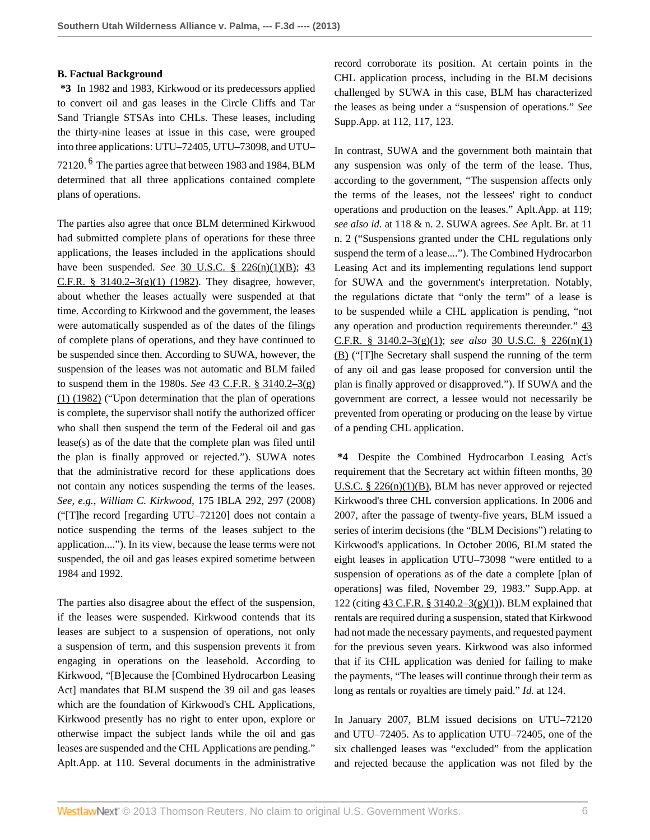#### **B. Factual Background**

**\*3** In 1982 and 1983, Kirkwood or its predecessors applied to convert oil and gas leases in the Circle Cliffs and Tar Sand Triangle STSAs into CHLs. These leases, including the thirty-nine leases at issue in this case, were grouped into three applications: UTU–72405, UTU–73098, and UTU– 72120.  $\frac{6}{5}$  $\frac{6}{5}$  $\frac{6}{5}$  The parties agree that between 1983 and 1984, BLM determined that all three applications contained complete plans of operations.

<span id="page-5-0"></span>The parties also agree that once BLM determined Kirkwood had submitted complete plans of operations for these three applications, the leases included in the applications should have been suspended. *See* [30 U.S.C. § 226\(n\)\(1\)\(B\)](http://www.westlaw.com/Link/Document/FullText?findType=L&pubNum=1000546&cite=30USCAS226&originationContext=document&vr=3.0&rs=cblt1.0&transitionType=DocumentItem&contextData=(sc.Search)#co_pp_3e73000050140); [43](http://www.westlaw.com/Link/Document/FullText?findType=L&pubNum=1000547&cite=43CFRS3140.2-3&originationContext=document&vr=3.0&rs=cblt1.0&transitionType=DocumentItem&contextData=(sc.Search)#co_pp_4d690000c9482) C.F.R. § 3140.2–3 $(g)(1)$  (1982). They disagree, however, about whether the leases actually were suspended at that time. According to Kirkwood and the government, the leases were automatically suspended as of the dates of the filings of complete plans of operations, and they have continued to be suspended since then. According to SUWA, however, the suspension of the leases was not automatic and BLM failed to suspend them in the 1980s. *See* [43 C.F.R. § 3140.2–3\(g\)](http://www.westlaw.com/Link/Document/FullText?findType=L&pubNum=1000547&cite=43CFRS3140.2-3&originationContext=document&vr=3.0&rs=cblt1.0&transitionType=DocumentItem&contextData=(sc.Search)#co_pp_4d690000c9482) [\(1\) \(1982\)](http://www.westlaw.com/Link/Document/FullText?findType=L&pubNum=1000547&cite=43CFRS3140.2-3&originationContext=document&vr=3.0&rs=cblt1.0&transitionType=DocumentItem&contextData=(sc.Search)#co_pp_4d690000c9482) ("Upon determination that the plan of operations is complete, the supervisor shall notify the authorized officer who shall then suspend the term of the Federal oil and gas lease(s) as of the date that the complete plan was filed until the plan is finally approved or rejected."). SUWA notes that the administrative record for these applications does not contain any notices suspending the terms of the leases. *See, e.g., William C. Kirkwood,* 175 IBLA 292, 297 (2008) ("[T]he record [regarding UTU–72120] does not contain a notice suspending the terms of the leases subject to the application...."). In its view, because the lease terms were not suspended, the oil and gas leases expired sometime between 1984 and 1992.

The parties also disagree about the effect of the suspension, if the leases were suspended. Kirkwood contends that its leases are subject to a suspension of operations, not only a suspension of term, and this suspension prevents it from engaging in operations on the leasehold. According to Kirkwood, "[B]ecause the [Combined Hydrocarbon Leasing Act] mandates that BLM suspend the 39 oil and gas leases which are the foundation of Kirkwood's CHL Applications, Kirkwood presently has no right to enter upon, explore or otherwise impact the subject lands while the oil and gas leases are suspended and the CHL Applications are pending." Aplt.App. at 110. Several documents in the administrative

record corroborate its position. At certain points in the CHL application process, including in the BLM decisions challenged by SUWA in this case, BLM has characterized the leases as being under a "suspension of operations." *See* Supp.App. at 112, 117, 123.

In contrast, SUWA and the government both maintain that any suspension was only of the term of the lease. Thus, according to the government, "The suspension affects only the terms of the leases, not the lessees' right to conduct operations and production on the leases." Aplt.App. at 119; *see also id.* at 118 & n. 2. SUWA agrees. *See* Aplt. Br. at 11 n. 2 ("Suspensions granted under the CHL regulations only suspend the term of a lease...."). The Combined Hydrocarbon Leasing Act and its implementing regulations lend support for SUWA and the government's interpretation. Notably, the regulations dictate that "only the term" of a lease is to be suspended while a CHL application is pending, "not any operation and production requirements thereunder." [43](http://www.westlaw.com/Link/Document/FullText?findType=L&pubNum=1000547&cite=43CFRS3140.2-3&originationContext=document&vr=3.0&rs=cblt1.0&transitionType=DocumentItem&contextData=(sc.Search)#co_pp_4d690000c9482) [C.F.R. § 3140.2–3\(g\)\(1\);](http://www.westlaw.com/Link/Document/FullText?findType=L&pubNum=1000547&cite=43CFRS3140.2-3&originationContext=document&vr=3.0&rs=cblt1.0&transitionType=DocumentItem&contextData=(sc.Search)#co_pp_4d690000c9482) *see also* [30 U.S.C. § 226\(n\)\(1\)](http://www.westlaw.com/Link/Document/FullText?findType=L&pubNum=1000546&cite=30USCAS226&originationContext=document&vr=3.0&rs=cblt1.0&transitionType=DocumentItem&contextData=(sc.Search)#co_pp_3e73000050140) [\(B\)](http://www.westlaw.com/Link/Document/FullText?findType=L&pubNum=1000546&cite=30USCAS226&originationContext=document&vr=3.0&rs=cblt1.0&transitionType=DocumentItem&contextData=(sc.Search)#co_pp_3e73000050140) ("[T]he Secretary shall suspend the running of the term of any oil and gas lease proposed for conversion until the plan is finally approved or disapproved."). If SUWA and the government are correct, a lessee would not necessarily be prevented from operating or producing on the lease by virtue of a pending CHL application.

**\*4** Despite the Combined Hydrocarbon Leasing Act's requirement that the Secretary act within fifteen months, [30](http://www.westlaw.com/Link/Document/FullText?findType=L&pubNum=1000546&cite=30USCAS226&originationContext=document&vr=3.0&rs=cblt1.0&transitionType=DocumentItem&contextData=(sc.Search)#co_pp_3e73000050140) [U.S.C. § 226\(n\)\(1\)\(B\)](http://www.westlaw.com/Link/Document/FullText?findType=L&pubNum=1000546&cite=30USCAS226&originationContext=document&vr=3.0&rs=cblt1.0&transitionType=DocumentItem&contextData=(sc.Search)#co_pp_3e73000050140), BLM has never approved or rejected Kirkwood's three CHL conversion applications. In 2006 and 2007, after the passage of twenty-five years, BLM issued a series of interim decisions (the "BLM Decisions") relating to Kirkwood's applications. In October 2006, BLM stated the eight leases in application UTU–73098 "were entitled to a suspension of operations as of the date a complete [plan of operations] was filed, November 29, 1983." Supp.App. at 122 (citing [43 C.F.R. § 3140.2–3\(g\)\(1\)\)](http://www.westlaw.com/Link/Document/FullText?findType=L&pubNum=1000547&cite=43CFRS3140.2-3&originationContext=document&vr=3.0&rs=cblt1.0&transitionType=DocumentItem&contextData=(sc.Search)#co_pp_4d690000c9482). BLM explained that rentals are required during a suspension, stated that Kirkwood had not made the necessary payments, and requested payment for the previous seven years. Kirkwood was also informed that if its CHL application was denied for failing to make the payments, "The leases will continue through their term as long as rentals or royalties are timely paid." *Id.* at 124.

In January 2007, BLM issued decisions on UTU–72120 and UTU–72405. As to application UTU–72405, one of the six challenged leases was "excluded" from the application and rejected because the application was not filed by the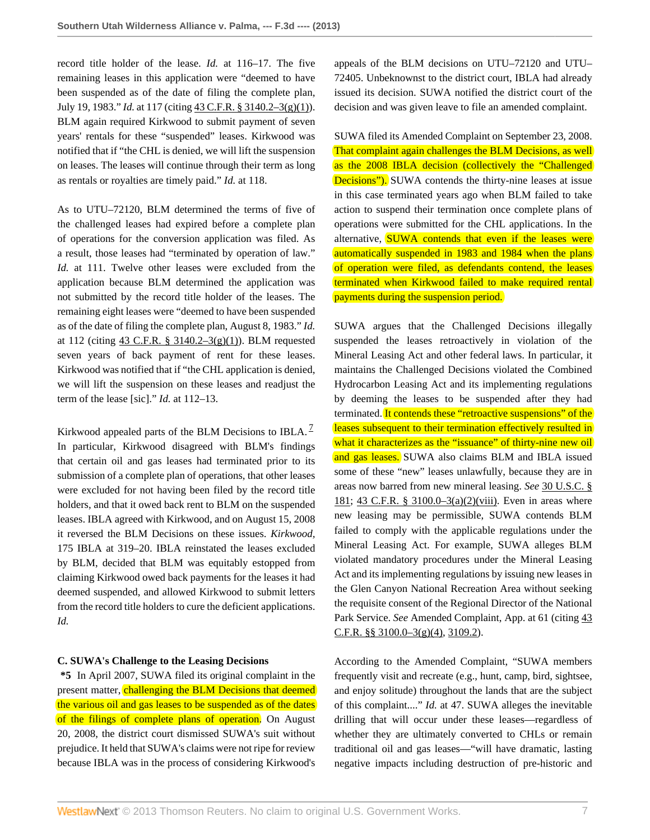record title holder of the lease. *Id.* at 116–17. The five remaining leases in this application were "deemed to have been suspended as of the date of filing the complete plan, July 19, 1983." *Id.* at 117 (citing [43 C.F.R. § 3140.2–3\(g\)\(1\)](http://www.westlaw.com/Link/Document/FullText?findType=L&pubNum=1000547&cite=43CFRS3140.2-3&originationContext=document&vr=3.0&rs=cblt1.0&transitionType=DocumentItem&contextData=(sc.Search)#co_pp_4d690000c9482)). BLM again required Kirkwood to submit payment of seven years' rentals for these "suspended" leases. Kirkwood was notified that if "the CHL is denied, we will lift the suspension on leases. The leases will continue through their term as long as rentals or royalties are timely paid." *Id.* at 118.

As to UTU–72120, BLM determined the terms of five of the challenged leases had expired before a complete plan of operations for the conversion application was filed. As a result, those leases had "terminated by operation of law." *Id.* at 111. Twelve other leases were excluded from the application because BLM determined the application was not submitted by the record title holder of the leases. The remaining eight leases were "deemed to have been suspended as of the date of filing the complete plan, August 8, 1983." *Id.* at 112 (citing [43 C.F.R. § 3140.2–3\(g\)\(1\)\)](http://www.westlaw.com/Link/Document/FullText?findType=L&pubNum=1000547&cite=43CFRS3140.2-3&originationContext=document&vr=3.0&rs=cblt1.0&transitionType=DocumentItem&contextData=(sc.Search)#co_pp_4d690000c9482). BLM requested seven years of back payment of rent for these leases. Kirkwood was notified that if "the CHL application is denied, we will lift the suspension on these leases and readjust the term of the lease [sic]." *Id.* at 112–13.

Kirkwood appealed parts of the BLM Decisions to IBLA.  $\frac{7}{2}$  $\frac{7}{2}$  $\frac{7}{2}$ In particular, Kirkwood disagreed with BLM's findings that certain oil and gas leases had terminated prior to its submission of a complete plan of operations, that other leases were excluded for not having been filed by the record title holders, and that it owed back rent to BLM on the suspended leases. IBLA agreed with Kirkwood, and on August 15, 2008 it reversed the BLM Decisions on these issues. *Kirkwood,* 175 IBLA at 319–20. IBLA reinstated the leases excluded by BLM, decided that BLM was equitably estopped from claiming Kirkwood owed back payments for the leases it had deemed suspended, and allowed Kirkwood to submit letters from the record title holders to cure the deficient applications. *Id.*

#### **C. SUWA's Challenge to the Leasing Decisions**

**\*5** In April 2007, SUWA filed its original complaint in the present matter, challenging the BLM Decisions that deemed the various oil and gas leases to be suspended as of the dates of the filings of complete plans of operation. On August 20, 2008, the district court dismissed SUWA's suit without prejudice. It held that SUWA's claims were not ripe for review because IBLA was in the process of considering Kirkwood's

appeals of the BLM decisions on UTU–72120 and UTU– 72405. Unbeknownst to the district court, IBLA had already issued its decision. SUWA notified the district court of the decision and was given leave to file an amended complaint.

SUWA filed its Amended Complaint on September 23, 2008. That complaint again challenges the BLM Decisions, as well as the 2008 IBLA decision (collectively the "Challenged Decisions"). SUWA contends the thirty-nine leases at issue in this case terminated years ago when BLM failed to take action to suspend their termination once complete plans of operations were submitted for the CHL applications. In the alternative, SUWA contends that even if the leases were automatically suspended in 1983 and 1984 when the plans of operation were filed, as defendants contend, the leases terminated when Kirkwood failed to make required rental payments during the suspension period.

<span id="page-6-0"></span>SUWA argues that the Challenged Decisions illegally suspended the leases retroactively in violation of the Mineral Leasing Act and other federal laws. In particular, it maintains the Challenged Decisions violated the Combined Hydrocarbon Leasing Act and its implementing regulations by deeming the leases to be suspended after they had terminated. It contends these "retroactive suspensions" of the leases subsequent to their termination effectively resulted in what it characterizes as the "issuance" of thirty-nine new oil and gas leases. SUWA also claims BLM and IBLA issued some of these "new" leases unlawfully, because they are in areas now barred from new mineral leasing. *See* [30 U.S.C. §](http://www.westlaw.com/Link/Document/FullText?findType=L&pubNum=1000546&cite=30USCAS181&originatingDoc=I88675e9759b311e280719c3f0e80bdd0&refType=LQ&originationContext=document&vr=3.0&rs=cblt1.0&transitionType=DocumentItem&contextData=(sc.Search)) [181](http://www.westlaw.com/Link/Document/FullText?findType=L&pubNum=1000546&cite=30USCAS181&originatingDoc=I88675e9759b311e280719c3f0e80bdd0&refType=LQ&originationContext=document&vr=3.0&rs=cblt1.0&transitionType=DocumentItem&contextData=(sc.Search)); [43 C.F.R. § 3100.0–3\(a\)\(2\)\(viii\)](http://www.westlaw.com/Link/Document/FullText?findType=L&pubNum=1000547&cite=43CFRS3100.0-3&originationContext=document&vr=3.0&rs=cblt1.0&transitionType=DocumentItem&contextData=(sc.Search)#co_pp_4f370000d9160). Even in areas where new leasing may be permissible, SUWA contends BLM failed to comply with the applicable regulations under the Mineral Leasing Act. For example, SUWA alleges BLM violated mandatory procedures under the Mineral Leasing Act and its implementing regulations by issuing new leases in the Glen Canyon National Recreation Area without seeking the requisite consent of the Regional Director of the National Park Service. *See* Amended Complaint, App. at 61 (citing  $43$ [C.F.R. §§ 3100.0–3\(g\)\(4\)](http://www.westlaw.com/Link/Document/FullText?findType=L&pubNum=1000547&cite=43CFRS3100.0-3&originationContext=document&vr=3.0&rs=cblt1.0&transitionType=DocumentItem&contextData=(sc.Search)#co_pp_73a1000032f37), [3109.2\)](http://www.westlaw.com/Link/Document/FullText?findType=L&pubNum=1000547&cite=43CFRS3109.2&originatingDoc=I88675e9759b311e280719c3f0e80bdd0&refType=LQ&originationContext=document&vr=3.0&rs=cblt1.0&transitionType=DocumentItem&contextData=(sc.Search)).

According to the Amended Complaint, "SUWA members frequently visit and recreate (e.g., hunt, camp, bird, sightsee, and enjoy solitude) throughout the lands that are the subject of this complaint...." *Id.* at 47. SUWA alleges the inevitable drilling that will occur under these leases—regardless of whether they are ultimately converted to CHLs or remain traditional oil and gas leases—"will have dramatic, lasting negative impacts including destruction of pre-historic and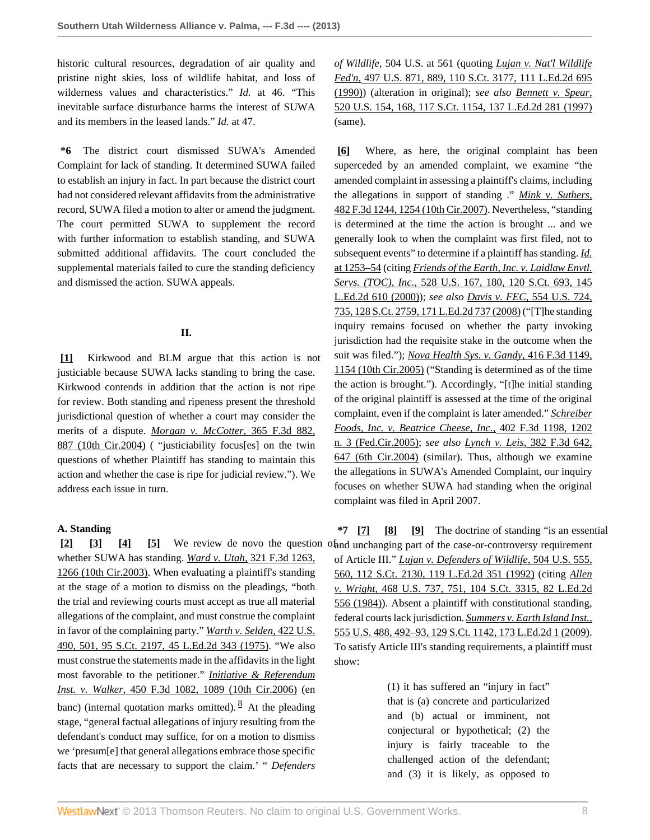historic cultural resources, degradation of air quality and pristine night skies, loss of wildlife habitat, and loss of wilderness values and characteristics." *Id.* at 46. "This inevitable surface disturbance harms the interest of SUWA and its members in the leased lands." *Id.* at 47.

**\*6** The district court dismissed SUWA's Amended Complaint for lack of standing. It determined SUWA failed to establish an injury in fact. In part because the district court had not considered relevant affidavits from the administrative record, SUWA filed a motion to alter or amend the judgment. The court permitted SUWA to supplement the record with further information to establish standing, and SUWA submitted additional affidavits. The court concluded the supplemental materials failed to cure the standing deficiency and dismissed the action. SUWA appeals.

## **II.**

<span id="page-7-0"></span>**[\[1\]](#page-0-1)** Kirkwood and BLM argue that this action is not justiciable because SUWA lacks standing to bring the case. Kirkwood contends in addition that the action is not ripe for review. Both standing and ripeness present the threshold jurisdictional question of whether a court may consider the merits of a dispute. *[Morgan v. McCotter,](http://www.westlaw.com/Link/Document/FullText?findType=Y&serNum=2004349042&pubNum=506&originationContext=document&vr=3.0&rs=cblt1.0&transitionType=DocumentItem&contextData=(sc.Search)#co_pp_sp_506_887)* 365 F.3d 882, [887 \(10th Cir.2004\)](http://www.westlaw.com/Link/Document/FullText?findType=Y&serNum=2004349042&pubNum=506&originationContext=document&vr=3.0&rs=cblt1.0&transitionType=DocumentItem&contextData=(sc.Search)#co_pp_sp_506_887) ( "justiciability focus[es] on the twin questions of whether Plaintiff has standing to maintain this action and whether the case is ripe for judicial review."). We address each issue in turn.

## **A. Standing**

<span id="page-7-4"></span><span id="page-7-3"></span><span id="page-7-2"></span><span id="page-7-1"></span>**[\[2\]](#page-0-0) [\[3\]](#page-0-2) [\[4](#page-0-3)] [\[5\]](#page-1-0)** We review de novo the question of and unchanging part of the case-or-controversy requirement whether SUWA has standing. *Ward v. Utah,* [321 F.3d 1263,](http://www.westlaw.com/Link/Document/FullText?findType=Y&serNum=2003206010&pubNum=506&originationContext=document&vr=3.0&rs=cblt1.0&transitionType=DocumentItem&contextData=(sc.Search)#co_pp_sp_506_1266) [1266 \(10th Cir.2003\)](http://www.westlaw.com/Link/Document/FullText?findType=Y&serNum=2003206010&pubNum=506&originationContext=document&vr=3.0&rs=cblt1.0&transitionType=DocumentItem&contextData=(sc.Search)#co_pp_sp_506_1266). When evaluating a plaintiff's standing at the stage of a motion to dismiss on the pleadings, "both the trial and reviewing courts must accept as true all material allegations of the complaint, and must construe the complaint in favor of the complaining party." *[Warth v. Selden,](http://www.westlaw.com/Link/Document/FullText?findType=Y&serNum=1975129820&pubNum=708&originationContext=document&vr=3.0&rs=cblt1.0&transitionType=DocumentItem&contextData=(sc.Search))* 422 U.S. [490, 501, 95 S.Ct. 2197, 45 L.Ed.2d 343 \(1975\)](http://www.westlaw.com/Link/Document/FullText?findType=Y&serNum=1975129820&pubNum=708&originationContext=document&vr=3.0&rs=cblt1.0&transitionType=DocumentItem&contextData=(sc.Search)). "We also must construe the statements made in the affidavits in the light most favorable to the petitioner." *[Initiative & Referendum](http://www.westlaw.com/Link/Document/FullText?findType=Y&serNum=2009201128&pubNum=506&originationContext=document&vr=3.0&rs=cblt1.0&transitionType=DocumentItem&contextData=(sc.Search)#co_pp_sp_506_1089) Inst. v. Walker,* [450 F.3d 1082, 1089 \(10th Cir.2006\)](http://www.westlaw.com/Link/Document/FullText?findType=Y&serNum=2009201128&pubNum=506&originationContext=document&vr=3.0&rs=cblt1.0&transitionType=DocumentItem&contextData=(sc.Search)#co_pp_sp_506_1089) (en banc) (internal quotation marks omitted).  $\frac{8}{3}$  $\frac{8}{3}$  $\frac{8}{3}$  At the pleading stage, "general factual allegations of injury resulting from the defendant's conduct may suffice, for on a motion to dismiss we 'presum[e] that general allegations embrace those specific facts that are necessary to support the claim.' " *Defenders*

*of Wildlife,* 504 U.S. at 561 (quoting *[Lujan v. Nat'l Wildlife](http://www.westlaw.com/Link/Document/FullText?findType=Y&serNum=1990097949&pubNum=708&originationContext=document&vr=3.0&rs=cblt1.0&transitionType=DocumentItem&contextData=(sc.Search)) Fed'n,* [497 U.S. 871, 889, 110 S.Ct. 3177, 111 L.Ed.2d 695](http://www.westlaw.com/Link/Document/FullText?findType=Y&serNum=1990097949&pubNum=708&originationContext=document&vr=3.0&rs=cblt1.0&transitionType=DocumentItem&contextData=(sc.Search)) [\(1990\)\)](http://www.westlaw.com/Link/Document/FullText?findType=Y&serNum=1990097949&pubNum=708&originationContext=document&vr=3.0&rs=cblt1.0&transitionType=DocumentItem&contextData=(sc.Search)) (alteration in original); *see also [Bennett v. Spear,](http://www.westlaw.com/Link/Document/FullText?findType=Y&serNum=1997071742&pubNum=708&originationContext=document&vr=3.0&rs=cblt1.0&transitionType=DocumentItem&contextData=(sc.Search))* [520 U.S. 154, 168, 117 S.Ct. 1154, 137 L.Ed.2d 281 \(1997\)](http://www.westlaw.com/Link/Document/FullText?findType=Y&serNum=1997071742&pubNum=708&originationContext=document&vr=3.0&rs=cblt1.0&transitionType=DocumentItem&contextData=(sc.Search)) (same).

<span id="page-7-5"></span>**[\[6\]](#page-1-1)** Where, as here, the original complaint has been superceded by an amended complaint, we examine "the amended complaint in assessing a plaintiff's claims, including the allegations in support of standing ." *[Mink v. Suthers,](http://www.westlaw.com/Link/Document/FullText?findType=Y&serNum=2011957528&pubNum=506&originationContext=document&vr=3.0&rs=cblt1.0&transitionType=DocumentItem&contextData=(sc.Search)#co_pp_sp_506_1254)* [482 F.3d 1244, 1254 \(10th Cir.2007\)](http://www.westlaw.com/Link/Document/FullText?findType=Y&serNum=2011957528&pubNum=506&originationContext=document&vr=3.0&rs=cblt1.0&transitionType=DocumentItem&contextData=(sc.Search)#co_pp_sp_506_1254). Nevertheless, "standing is determined at the time the action is brought ... and we generally look to when the complaint was first filed, not to subsequent events" to determine if a plaintiff has standing. *[Id.](http://www.westlaw.com/Link/Document/FullText?findType=Y&serNum=2011957528&originationContext=document&vr=3.0&rs=cblt1.0&transitionType=DocumentItem&contextData=(sc.Search))* [at 1253–54](http://www.westlaw.com/Link/Document/FullText?findType=Y&serNum=2011957528&originationContext=document&vr=3.0&rs=cblt1.0&transitionType=DocumentItem&contextData=(sc.Search)) (citing *[Friends of the Earth, Inc. v. Laidlaw Envtl.](http://www.westlaw.com/Link/Document/FullText?findType=Y&serNum=2000029538&pubNum=708&originationContext=document&vr=3.0&rs=cblt1.0&transitionType=DocumentItem&contextData=(sc.Search)) Servs. (TOC), Inc.,* [528 U.S. 167, 180, 120 S.Ct. 693, 145](http://www.westlaw.com/Link/Document/FullText?findType=Y&serNum=2000029538&pubNum=708&originationContext=document&vr=3.0&rs=cblt1.0&transitionType=DocumentItem&contextData=(sc.Search)) [L.Ed.2d 610 \(2000\)](http://www.westlaw.com/Link/Document/FullText?findType=Y&serNum=2000029538&pubNum=708&originationContext=document&vr=3.0&rs=cblt1.0&transitionType=DocumentItem&contextData=(sc.Search))); *see also Davis v. FEC,* [554 U.S. 724,](http://www.westlaw.com/Link/Document/FullText?findType=Y&serNum=2016385175&pubNum=708&originationContext=document&vr=3.0&rs=cblt1.0&transitionType=DocumentItem&contextData=(sc.Search)) [735, 128 S.Ct. 2759, 171 L.Ed.2d 737 \(2008\)](http://www.westlaw.com/Link/Document/FullText?findType=Y&serNum=2016385175&pubNum=708&originationContext=document&vr=3.0&rs=cblt1.0&transitionType=DocumentItem&contextData=(sc.Search)) ("[T]he standing inquiry remains focused on whether the party invoking jurisdiction had the requisite stake in the outcome when the suit was filed."); *[Nova Health Sys. v. Gandy,](http://www.westlaw.com/Link/Document/FullText?findType=Y&serNum=2006976068&pubNum=506&originationContext=document&vr=3.0&rs=cblt1.0&transitionType=DocumentItem&contextData=(sc.Search)#co_pp_sp_506_1154)* 416 F.3d 1149, [1154 \(10th Cir.2005\)](http://www.westlaw.com/Link/Document/FullText?findType=Y&serNum=2006976068&pubNum=506&originationContext=document&vr=3.0&rs=cblt1.0&transitionType=DocumentItem&contextData=(sc.Search)#co_pp_sp_506_1154) ("Standing is determined as of the time the action is brought."). Accordingly, "[t]he initial standing of the original plaintiff is assessed at the time of the original complaint, even if the complaint is later amended." *[Schreiber](http://www.westlaw.com/Link/Document/FullText?findType=Y&serNum=2006369800&pubNum=506&originationContext=document&vr=3.0&rs=cblt1.0&transitionType=DocumentItem&contextData=(sc.Search)#co_pp_sp_506_1202) [Foods, Inc. v. Beatrice Cheese, Inc.,](http://www.westlaw.com/Link/Document/FullText?findType=Y&serNum=2006369800&pubNum=506&originationContext=document&vr=3.0&rs=cblt1.0&transitionType=DocumentItem&contextData=(sc.Search)#co_pp_sp_506_1202)* 402 F.3d 1198, 1202 [n. 3 \(Fed.Cir.2005\)](http://www.westlaw.com/Link/Document/FullText?findType=Y&serNum=2006369800&pubNum=506&originationContext=document&vr=3.0&rs=cblt1.0&transitionType=DocumentItem&contextData=(sc.Search)#co_pp_sp_506_1202); *see also Lynch v. Leis,* [382 F.3d 642,](http://www.westlaw.com/Link/Document/FullText?findType=Y&serNum=2004963815&pubNum=506&originationContext=document&vr=3.0&rs=cblt1.0&transitionType=DocumentItem&contextData=(sc.Search)#co_pp_sp_506_647) [647 \(6th Cir.2004\)](http://www.westlaw.com/Link/Document/FullText?findType=Y&serNum=2004963815&pubNum=506&originationContext=document&vr=3.0&rs=cblt1.0&transitionType=DocumentItem&contextData=(sc.Search)#co_pp_sp_506_647) (similar). Thus, although we examine the allegations in SUWA's Amended Complaint, our inquiry focuses on whether SUWA had standing when the original complaint was filed in April 2007.

<span id="page-7-8"></span><span id="page-7-7"></span><span id="page-7-6"></span>**\*7 [\[7\]](#page-1-2) [\[8\]](#page-1-3) [\[9\]](#page-1-4)** The doctrine of standing "is an essential of Article III." *[Lujan v. Defenders of Wildlife,](http://www.westlaw.com/Link/Document/FullText?findType=Y&serNum=1992106162&pubNum=708&originationContext=document&vr=3.0&rs=cblt1.0&transitionType=DocumentItem&contextData=(sc.Search))* 504 U.S. 555, [560, 112 S.Ct. 2130, 119 L.Ed.2d 351 \(1992\)](http://www.westlaw.com/Link/Document/FullText?findType=Y&serNum=1992106162&pubNum=708&originationContext=document&vr=3.0&rs=cblt1.0&transitionType=DocumentItem&contextData=(sc.Search)) (citing *[Allen](http://www.westlaw.com/Link/Document/FullText?findType=Y&serNum=1984132352&pubNum=708&originationContext=document&vr=3.0&rs=cblt1.0&transitionType=DocumentItem&contextData=(sc.Search)) v. Wright,* [468 U.S. 737, 751, 104 S.Ct. 3315, 82 L.Ed.2d](http://www.westlaw.com/Link/Document/FullText?findType=Y&serNum=1984132352&pubNum=708&originationContext=document&vr=3.0&rs=cblt1.0&transitionType=DocumentItem&contextData=(sc.Search)) [556 \(1984\)\)](http://www.westlaw.com/Link/Document/FullText?findType=Y&serNum=1984132352&pubNum=708&originationContext=document&vr=3.0&rs=cblt1.0&transitionType=DocumentItem&contextData=(sc.Search)). Absent a plaintiff with constitutional standing, federal courts lack jurisdiction. *[Summers v. Earth Island Inst.,](http://www.westlaw.com/Link/Document/FullText?findType=Y&serNum=2018252548&pubNum=708&originationContext=document&vr=3.0&rs=cblt1.0&transitionType=DocumentItem&contextData=(sc.Search))* [555 U.S. 488, 492–93, 129 S.Ct. 1142, 173 L.Ed.2d 1 \(2009\).](http://www.westlaw.com/Link/Document/FullText?findType=Y&serNum=2018252548&pubNum=708&originationContext=document&vr=3.0&rs=cblt1.0&transitionType=DocumentItem&contextData=(sc.Search)) To satisfy Article III's standing requirements, a plaintiff must show:

> <span id="page-7-9"></span>(1) it has suffered an "injury in fact" that is (a) concrete and particularized and (b) actual or imminent, not conjectural or hypothetical; (2) the injury is fairly traceable to the challenged action of the defendant; and (3) it is likely, as opposed to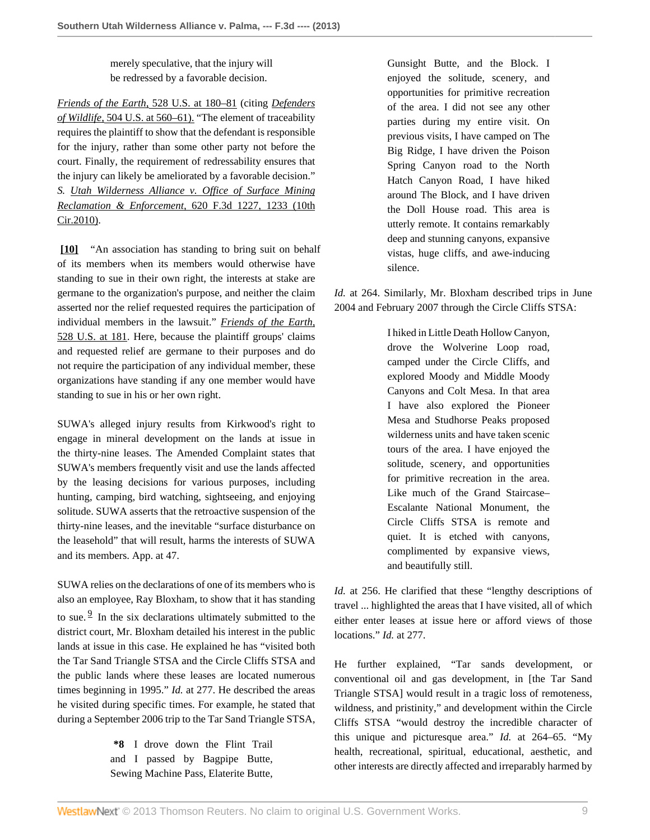merely speculative, that the injury will be redressed by a favorable decision.

*[Friends of the Earth,](http://www.westlaw.com/Link/Document/FullText?findType=Y&serNum=2000029538&pubNum=780&originationContext=document&vr=3.0&rs=cblt1.0&transitionType=DocumentItem&contextData=(sc.Search)#co_pp_sp_780_180)* 528 U.S. at 180–81 (citing *[Defenders](http://www.westlaw.com/Link/Document/FullText?findType=Y&serNum=1992106162&pubNum=780&originationContext=document&vr=3.0&rs=cblt1.0&transitionType=DocumentItem&contextData=(sc.Search)#co_pp_sp_780_560) of Wildlife,* [504 U.S. at 560–61\).](http://www.westlaw.com/Link/Document/FullText?findType=Y&serNum=1992106162&pubNum=780&originationContext=document&vr=3.0&rs=cblt1.0&transitionType=DocumentItem&contextData=(sc.Search)#co_pp_sp_780_560) "The element of traceability requires the plaintiff to show that the defendant is responsible for the injury, rather than some other party not before the court. Finally, the requirement of redressability ensures that the injury can likely be ameliorated by a favorable decision." *S. [Utah Wilderness Alliance v. Office of Surface Mining](http://www.westlaw.com/Link/Document/FullText?findType=Y&serNum=2023136975&pubNum=506&originationContext=document&vr=3.0&rs=cblt1.0&transitionType=DocumentItem&contextData=(sc.Search)#co_pp_sp_506_1233) [Reclamation & Enforcement,](http://www.westlaw.com/Link/Document/FullText?findType=Y&serNum=2023136975&pubNum=506&originationContext=document&vr=3.0&rs=cblt1.0&transitionType=DocumentItem&contextData=(sc.Search)#co_pp_sp_506_1233)* 620 F.3d 1227, 1233 (10th [Cir.2010\).](http://www.westlaw.com/Link/Document/FullText?findType=Y&serNum=2023136975&pubNum=506&originationContext=document&vr=3.0&rs=cblt1.0&transitionType=DocumentItem&contextData=(sc.Search)#co_pp_sp_506_1233)

<span id="page-8-0"></span>**[\[10\]](#page-1-5)** "An association has standing to bring suit on behalf of its members when its members would otherwise have standing to sue in their own right, the interests at stake are germane to the organization's purpose, and neither the claim asserted nor the relief requested requires the participation of individual members in the lawsuit." *[Friends of the Earth,](http://www.westlaw.com/Link/Document/FullText?findType=Y&serNum=2000029538&pubNum=780&originationContext=document&vr=3.0&rs=cblt1.0&transitionType=DocumentItem&contextData=(sc.Search)#co_pp_sp_780_181)* [528 U.S. at 181.](http://www.westlaw.com/Link/Document/FullText?findType=Y&serNum=2000029538&pubNum=780&originationContext=document&vr=3.0&rs=cblt1.0&transitionType=DocumentItem&contextData=(sc.Search)#co_pp_sp_780_181) Here, because the plaintiff groups' claims and requested relief are germane to their purposes and do not require the participation of any individual member, these organizations have standing if any one member would have standing to sue in his or her own right.

SUWA's alleged injury results from Kirkwood's right to engage in mineral development on the lands at issue in the thirty-nine leases. The Amended Complaint states that SUWA's members frequently visit and use the lands affected by the leasing decisions for various purposes, including hunting, camping, bird watching, sightseeing, and enjoying solitude. SUWA asserts that the retroactive suspension of the thirty-nine leases, and the inevitable "surface disturbance on the leasehold" that will result, harms the interests of SUWA and its members. App. at 47.

<span id="page-8-1"></span>SUWA relies on the declarations of one of its members who is also an employee, Ray Bloxham, to show that it has standing to sue.  $9 \text{ In the six declarations ultimately submitted to the}$  $9 \text{ In the six declarations ultimately submitted to the}$ district court, Mr. Bloxham detailed his interest in the public lands at issue in this case. He explained he has "visited both the Tar Sand Triangle STSA and the Circle Cliffs STSA and the public lands where these leases are located numerous times beginning in 1995." *Id.* at 277. He described the areas he visited during specific times. For example, he stated that during a September 2006 trip to the Tar Sand Triangle STSA,

> **\*8** I drove down the Flint Trail and I passed by Bagpipe Butte, Sewing Machine Pass, Elaterite Butte,

Gunsight Butte, and the Block. I enjoyed the solitude, scenery, and opportunities for primitive recreation of the area. I did not see any other parties during my entire visit. On previous visits, I have camped on The Big Ridge, I have driven the Poison Spring Canyon road to the North Hatch Canyon Road, I have hiked around The Block, and I have driven the Doll House road. This area is utterly remote. It contains remarkably deep and stunning canyons, expansive vistas, huge cliffs, and awe-inducing silence.

*Id.* at 264. Similarly, Mr. Bloxham described trips in June 2004 and February 2007 through the Circle Cliffs STSA:

> I hiked in Little Death Hollow Canyon, drove the Wolverine Loop road, camped under the Circle Cliffs, and explored Moody and Middle Moody Canyons and Colt Mesa. In that area I have also explored the Pioneer Mesa and Studhorse Peaks proposed wilderness units and have taken scenic tours of the area. I have enjoyed the solitude, scenery, and opportunities for primitive recreation in the area. Like much of the Grand Staircase– Escalante National Monument, the Circle Cliffs STSA is remote and quiet. It is etched with canyons, complimented by expansive views, and beautifully still.

*Id.* at 256. He clarified that these "lengthy descriptions of travel ... highlighted the areas that I have visited, all of which either enter leases at issue here or afford views of those locations." *Id.* at 277.

He further explained, "Tar sands development, or conventional oil and gas development, in [the Tar Sand Triangle STSA] would result in a tragic loss of remoteness, wildness, and pristinity," and development within the Circle Cliffs STSA "would destroy the incredible character of this unique and picturesque area." *Id.* at 264–65. "My health, recreational, spiritual, educational, aesthetic, and other interests are directly affected and irreparably harmed by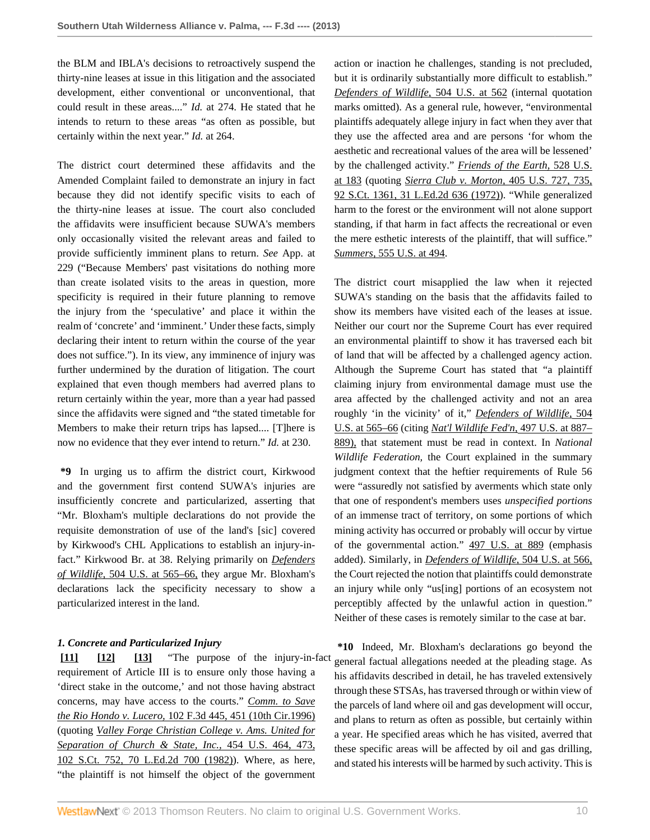the BLM and IBLA's decisions to retroactively suspend the thirty-nine leases at issue in this litigation and the associated development, either conventional or unconventional, that could result in these areas...." *Id.* at 274. He stated that he intends to return to these areas "as often as possible, but certainly within the next year." *Id.* at 264.

The district court determined these affidavits and the Amended Complaint failed to demonstrate an injury in fact because they did not identify specific visits to each of the thirty-nine leases at issue. The court also concluded the affidavits were insufficient because SUWA's members only occasionally visited the relevant areas and failed to provide sufficiently imminent plans to return. *See* App. at 229 ("Because Members' past visitations do nothing more than create isolated visits to the areas in question, more specificity is required in their future planning to remove the injury from the 'speculative' and place it within the realm of 'concrete' and 'imminent.' Under these facts, simply declaring their intent to return within the course of the year does not suffice."). In its view, any imminence of injury was further undermined by the duration of litigation. The court explained that even though members had averred plans to return certainly within the year, more than a year had passed since the affidavits were signed and "the stated timetable for Members to make their return trips has lapsed.... [T]here is now no evidence that they ever intend to return." *Id.* at 230.

**\*9** In urging us to affirm the district court, Kirkwood and the government first contend SUWA's injuries are insufficiently concrete and particularized, asserting that "Mr. Bloxham's multiple declarations do not provide the requisite demonstration of use of the land's [sic] covered by Kirkwood's CHL Applications to establish an injury-infact." Kirkwood Br. at 38. Relying primarily on *[Defenders](http://www.westlaw.com/Link/Document/FullText?findType=Y&serNum=1992106162&pubNum=780&originationContext=document&vr=3.0&rs=cblt1.0&transitionType=DocumentItem&contextData=(sc.Search)#co_pp_sp_780_565) of Wildlife,* [504 U.S. at 565–66,](http://www.westlaw.com/Link/Document/FullText?findType=Y&serNum=1992106162&pubNum=780&originationContext=document&vr=3.0&rs=cblt1.0&transitionType=DocumentItem&contextData=(sc.Search)#co_pp_sp_780_565) they argue Mr. Bloxham's declarations lack the specificity necessary to show a particularized interest in the land.

# *1. Concrete and Particularized Injury*

<span id="page-9-2"></span><span id="page-9-1"></span><span id="page-9-0"></span>**[\[11\]](#page-1-6) [\[12](#page-2-1)] [\[13\]](#page-2-2)** "The purpose of the injury-in-fact requirement of Article III is to ensure only those having a 'direct stake in the outcome,' and not those having abstract concerns, may have access to the courts." *[Comm. to Save](http://www.westlaw.com/Link/Document/FullText?findType=Y&serNum=1996269864&pubNum=506&originationContext=document&vr=3.0&rs=cblt1.0&transitionType=DocumentItem&contextData=(sc.Search)#co_pp_sp_506_451) the Rio Hondo v. Lucero,* [102 F.3d 445, 451 \(10th Cir.1996\)](http://www.westlaw.com/Link/Document/FullText?findType=Y&serNum=1996269864&pubNum=506&originationContext=document&vr=3.0&rs=cblt1.0&transitionType=DocumentItem&contextData=(sc.Search)#co_pp_sp_506_451) (quoting *[Valley Forge Christian College v. Ams. United for](http://www.westlaw.com/Link/Document/FullText?findType=Y&serNum=1982102020&pubNum=708&originationContext=document&vr=3.0&rs=cblt1.0&transitionType=DocumentItem&contextData=(sc.Search)) [Separation of Church & State, Inc.,](http://www.westlaw.com/Link/Document/FullText?findType=Y&serNum=1982102020&pubNum=708&originationContext=document&vr=3.0&rs=cblt1.0&transitionType=DocumentItem&contextData=(sc.Search))* 454 U.S. 464, 473, [102 S.Ct. 752, 70 L.Ed.2d 700 \(1982\)](http://www.westlaw.com/Link/Document/FullText?findType=Y&serNum=1982102020&pubNum=708&originationContext=document&vr=3.0&rs=cblt1.0&transitionType=DocumentItem&contextData=(sc.Search))). Where, as here, "the plaintiff is not himself the object of the government

action or inaction he challenges, standing is not precluded, but it is ordinarily substantially more difficult to establish." *[Defenders of Wildlife,](http://www.westlaw.com/Link/Document/FullText?findType=Y&serNum=1992106162&pubNum=780&originationContext=document&vr=3.0&rs=cblt1.0&transitionType=DocumentItem&contextData=(sc.Search)#co_pp_sp_780_562)* 504 U.S. at 562 (internal quotation marks omitted). As a general rule, however, "environmental plaintiffs adequately allege injury in fact when they aver that they use the affected area and are persons 'for whom the aesthetic and recreational values of the area will be lessened' by the challenged activity." *[Friends of the Earth,](http://www.westlaw.com/Link/Document/FullText?findType=Y&serNum=2000029538&pubNum=780&originationContext=document&vr=3.0&rs=cblt1.0&transitionType=DocumentItem&contextData=(sc.Search)#co_pp_sp_780_183)* 528 U.S. [at 183](http://www.westlaw.com/Link/Document/FullText?findType=Y&serNum=2000029538&pubNum=780&originationContext=document&vr=3.0&rs=cblt1.0&transitionType=DocumentItem&contextData=(sc.Search)#co_pp_sp_780_183) (quoting *[Sierra Club v. Morton,](http://www.westlaw.com/Link/Document/FullText?findType=Y&serNum=1972127106&pubNum=708&originationContext=document&vr=3.0&rs=cblt1.0&transitionType=DocumentItem&contextData=(sc.Search))* 405 U.S. 727, 735, [92 S.Ct. 1361, 31 L.Ed.2d 636 \(1972\)\)](http://www.westlaw.com/Link/Document/FullText?findType=Y&serNum=1972127106&pubNum=708&originationContext=document&vr=3.0&rs=cblt1.0&transitionType=DocumentItem&contextData=(sc.Search)). "While generalized harm to the forest or the environment will not alone support standing, if that harm in fact affects the recreational or even the mere esthetic interests of the plaintiff, that will suffice." *Summers,* [555 U.S. at 494](http://www.westlaw.com/Link/Document/FullText?findType=Y&serNum=2018252548&pubNum=780&originationContext=document&vr=3.0&rs=cblt1.0&transitionType=DocumentItem&contextData=(sc.Search)#co_pp_sp_780_494).

The district court misapplied the law when it rejected SUWA's standing on the basis that the affidavits failed to show its members have visited each of the leases at issue. Neither our court nor the Supreme Court has ever required an environmental plaintiff to show it has traversed each bit of land that will be affected by a challenged agency action. Although the Supreme Court has stated that "a plaintiff claiming injury from environmental damage must use the area affected by the challenged activity and not an area roughly 'in the vicinity' of it," *[Defenders of Wildlife,](http://www.westlaw.com/Link/Document/FullText?findType=Y&serNum=1992106162&pubNum=780&originationContext=document&vr=3.0&rs=cblt1.0&transitionType=DocumentItem&contextData=(sc.Search)#co_pp_sp_780_565)* 504 [U.S. at 565–66](http://www.westlaw.com/Link/Document/FullText?findType=Y&serNum=1992106162&pubNum=780&originationContext=document&vr=3.0&rs=cblt1.0&transitionType=DocumentItem&contextData=(sc.Search)#co_pp_sp_780_565) (citing *[Nat'l Wildlife Fed'n,](http://www.westlaw.com/Link/Document/FullText?findType=Y&serNum=1990097949&pubNum=780&originationContext=document&vr=3.0&rs=cblt1.0&transitionType=DocumentItem&contextData=(sc.Search)#co_pp_sp_780_887)* 497 U.S. at 887– [889\),](http://www.westlaw.com/Link/Document/FullText?findType=Y&serNum=1990097949&pubNum=780&originationContext=document&vr=3.0&rs=cblt1.0&transitionType=DocumentItem&contextData=(sc.Search)#co_pp_sp_780_887) that statement must be read in context. In *National Wildlife Federation,* the Court explained in the summary judgment context that the heftier requirements of Rule 56 were "assuredly not satisfied by averments which state only that one of respondent's members uses *unspecified portions* of an immense tract of territory, on some portions of which mining activity has occurred or probably will occur by virtue of the governmental action." [497 U.S. at 889](http://www.westlaw.com/Link/Document/FullText?findType=Y&serNum=1990097949&pubNum=780&originationContext=document&vr=3.0&rs=cblt1.0&transitionType=DocumentItem&contextData=(sc.Search)#co_pp_sp_780_889) (emphasis added). Similarly, in *[Defenders of Wildlife,](http://www.westlaw.com/Link/Document/FullText?findType=Y&serNum=1992106162&pubNum=780&originationContext=document&vr=3.0&rs=cblt1.0&transitionType=DocumentItem&contextData=(sc.Search)#co_pp_sp_780_566)* 504 U.S. at 566, the Court rejected the notion that plaintiffs could demonstrate an injury while only "us[ing] portions of an ecosystem not perceptibly affected by the unlawful action in question." Neither of these cases is remotely similar to the case at bar.

**\*10** Indeed, Mr. Bloxham's declarations go beyond the general factual allegations needed at the pleading stage. As his affidavits described in detail, he has traveled extensively through these STSAs, has traversed through or within view of the parcels of land where oil and gas development will occur, and plans to return as often as possible, but certainly within a year. He specified areas which he has visited, averred that these specific areas will be affected by oil and gas drilling, and stated his interests will be harmed by such activity. This is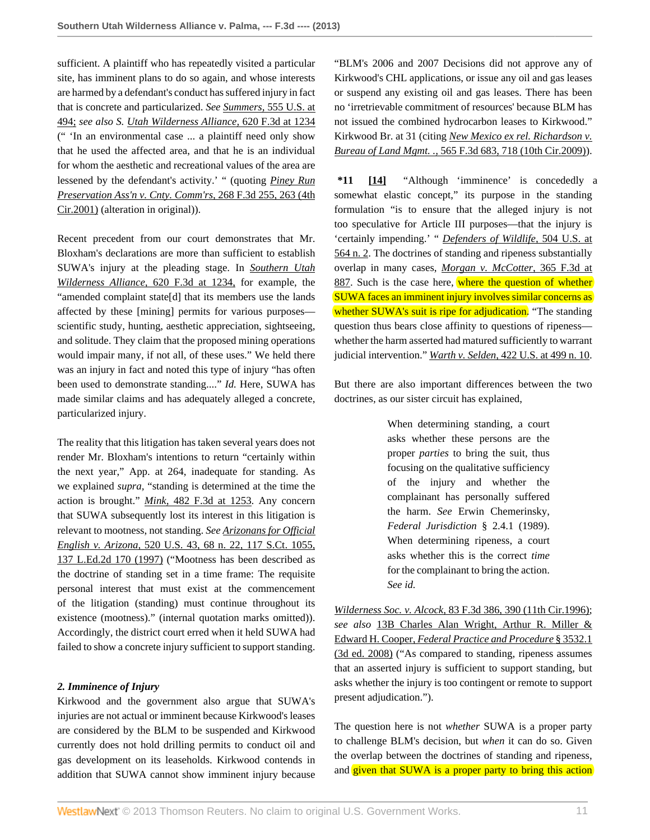sufficient. A plaintiff who has repeatedly visited a particular site, has imminent plans to do so again, and whose interests are harmed by a defendant's conduct has suffered injury in fact that is concrete and particularized. *See Summers,* [555 U.S. at](http://www.westlaw.com/Link/Document/FullText?findType=Y&serNum=2018252548&pubNum=780&originationContext=document&vr=3.0&rs=cblt1.0&transitionType=DocumentItem&contextData=(sc.Search)#co_pp_sp_780_494) [494;](http://www.westlaw.com/Link/Document/FullText?findType=Y&serNum=2018252548&pubNum=780&originationContext=document&vr=3.0&rs=cblt1.0&transitionType=DocumentItem&contextData=(sc.Search)#co_pp_sp_780_494) *see also S. [Utah Wilderness Alliance,](http://www.westlaw.com/Link/Document/FullText?findType=Y&serNum=2023136975&pubNum=506&originationContext=document&vr=3.0&rs=cblt1.0&transitionType=DocumentItem&contextData=(sc.Search)#co_pp_sp_506_1234)* 620 F.3d at 1234 (" 'In an environmental case ... a plaintiff need only show that he used the affected area, and that he is an individual for whom the aesthetic and recreational values of the area are lessened by the defendant's activity.' " (quoting *[Piney Run](http://www.westlaw.com/Link/Document/FullText?findType=Y&serNum=2001864190&pubNum=506&originationContext=document&vr=3.0&rs=cblt1.0&transitionType=DocumentItem&contextData=(sc.Search)#co_pp_sp_506_263) [Preservation Ass'n v. Cnty. Comm'rs,](http://www.westlaw.com/Link/Document/FullText?findType=Y&serNum=2001864190&pubNum=506&originationContext=document&vr=3.0&rs=cblt1.0&transitionType=DocumentItem&contextData=(sc.Search)#co_pp_sp_506_263)* 268 F.3d 255, 263 (4th [Cir.2001\)](http://www.westlaw.com/Link/Document/FullText?findType=Y&serNum=2001864190&pubNum=506&originationContext=document&vr=3.0&rs=cblt1.0&transitionType=DocumentItem&contextData=(sc.Search)#co_pp_sp_506_263) (alteration in original)).

Recent precedent from our court demonstrates that Mr. Bloxham's declarations are more than sufficient to establish SUWA's injury at the pleading stage. In *[Southern Utah](http://www.westlaw.com/Link/Document/FullText?findType=Y&serNum=2023136975&pubNum=506&originationContext=document&vr=3.0&rs=cblt1.0&transitionType=DocumentItem&contextData=(sc.Search)#co_pp_sp_506_1234) [Wilderness Alliance,](http://www.westlaw.com/Link/Document/FullText?findType=Y&serNum=2023136975&pubNum=506&originationContext=document&vr=3.0&rs=cblt1.0&transitionType=DocumentItem&contextData=(sc.Search)#co_pp_sp_506_1234)* 620 F.3d at 1234, for example, the "amended complaint state[d] that its members use the lands affected by these [mining] permits for various purposes scientific study, hunting, aesthetic appreciation, sightseeing, and solitude. They claim that the proposed mining operations would impair many, if not all, of these uses." We held there was an injury in fact and noted this type of injury "has often been used to demonstrate standing...." *Id.* Here, SUWA has made similar claims and has adequately alleged a concrete, particularized injury.

The reality that this litigation has taken several years does not render Mr. Bloxham's intentions to return "certainly within the next year," App. at 264, inadequate for standing. As we explained *supra,* "standing is determined at the time the action is brought." *Mink,* [482 F.3d at 1253.](http://www.westlaw.com/Link/Document/FullText?findType=Y&serNum=2011957528&pubNum=506&originationContext=document&vr=3.0&rs=cblt1.0&transitionType=DocumentItem&contextData=(sc.Search)#co_pp_sp_506_1253) Any concern that SUWA subsequently lost its interest in this litigation is relevant to mootness, not standing. *See [Arizonans for Official](http://www.westlaw.com/Link/Document/FullText?findType=Y&serNum=1997060684&pubNum=708&originationContext=document&vr=3.0&rs=cblt1.0&transitionType=DocumentItem&contextData=(sc.Search)) English v. Arizona,* [520 U.S. 43, 68 n. 22, 117 S.Ct. 1055,](http://www.westlaw.com/Link/Document/FullText?findType=Y&serNum=1997060684&pubNum=708&originationContext=document&vr=3.0&rs=cblt1.0&transitionType=DocumentItem&contextData=(sc.Search)) [137 L.Ed.2d 170 \(1997\)](http://www.westlaw.com/Link/Document/FullText?findType=Y&serNum=1997060684&pubNum=708&originationContext=document&vr=3.0&rs=cblt1.0&transitionType=DocumentItem&contextData=(sc.Search)) ("Mootness has been described as the doctrine of standing set in a time frame: The requisite personal interest that must exist at the commencement of the litigation (standing) must continue throughout its existence (mootness)." (internal quotation marks omitted)). Accordingly, the district court erred when it held SUWA had failed to show a concrete injury sufficient to support standing.

## *2. Imminence of Injury*

Kirkwood and the government also argue that SUWA's injuries are not actual or imminent because Kirkwood's leases are considered by the BLM to be suspended and Kirkwood currently does not hold drilling permits to conduct oil and gas development on its leaseholds. Kirkwood contends in addition that SUWA cannot show imminent injury because "BLM's 2006 and 2007 Decisions did not approve any of Kirkwood's CHL applications, or issue any oil and gas leases or suspend any existing oil and gas leases. There has been no 'irretrievable commitment of resources' because BLM has not issued the combined hydrocarbon leases to Kirkwood." Kirkwood Br. at 31 (citing *[New Mexico ex rel. Richardson v.](http://www.westlaw.com/Link/Document/FullText?findType=Y&serNum=2018686432&pubNum=506&originationContext=document&vr=3.0&rs=cblt1.0&transitionType=DocumentItem&contextData=(sc.Search)#co_pp_sp_506_718) Bureau of Land Mgmt. .,* [565 F.3d 683, 718 \(10th Cir.2009\)](http://www.westlaw.com/Link/Document/FullText?findType=Y&serNum=2018686432&pubNum=506&originationContext=document&vr=3.0&rs=cblt1.0&transitionType=DocumentItem&contextData=(sc.Search)#co_pp_sp_506_718)).

<span id="page-10-0"></span>**\*11 [\[14\]](#page-2-3)** "Although 'imminence' is concededly a somewhat elastic concept," its purpose in the standing formulation "is to ensure that the alleged injury is not too speculative for Article III purposes—that the injury is 'certainly impending.' " *[Defenders of Wildlife,](http://www.westlaw.com/Link/Document/FullText?findType=Y&serNum=1992106162&pubNum=780&originationContext=document&vr=3.0&rs=cblt1.0&transitionType=DocumentItem&contextData=(sc.Search)#co_pp_sp_780_564)* 504 U.S. at [564 n. 2](http://www.westlaw.com/Link/Document/FullText?findType=Y&serNum=1992106162&pubNum=780&originationContext=document&vr=3.0&rs=cblt1.0&transitionType=DocumentItem&contextData=(sc.Search)#co_pp_sp_780_564). The doctrines of standing and ripeness substantially overlap in many cases, *[Morgan v. McCotter,](http://www.westlaw.com/Link/Document/FullText?findType=Y&serNum=2004349042&pubNum=506&originationContext=document&vr=3.0&rs=cblt1.0&transitionType=DocumentItem&contextData=(sc.Search)#co_pp_sp_506_887)* 365 F.3d at [887](http://www.westlaw.com/Link/Document/FullText?findType=Y&serNum=2004349042&pubNum=506&originationContext=document&vr=3.0&rs=cblt1.0&transitionType=DocumentItem&contextData=(sc.Search)#co_pp_sp_506_887). Such is the case here, where the question of whether SUWA faces an imminent injury involves similar concerns as whether SUWA's suit is ripe for adjudication. "The standing question thus bears close affinity to questions of ripeness whether the harm asserted had matured sufficiently to warrant judicial intervention." *Warth v. Selden,* [422 U.S. at 499 n. 10.](http://www.westlaw.com/Link/Document/FullText?findType=Y&serNum=1975129820&pubNum=780&originationContext=document&vr=3.0&rs=cblt1.0&transitionType=DocumentItem&contextData=(sc.Search)#co_pp_sp_780_499)

But there are also important differences between the two doctrines, as our sister circuit has explained,

> When determining standing, a court asks whether these persons are the proper *parties* to bring the suit, thus focusing on the qualitative sufficiency of the injury and whether the complainant has personally suffered the harm. *See* Erwin Chemerinsky, *Federal Jurisdiction* § 2.4.1 (1989). When determining ripeness, a court asks whether this is the correct *time* for the complainant to bring the action. *See id.*

*Wilderness Soc. v. Alcock,* [83 F.3d 386, 390 \(11th Cir.1996\)](http://www.westlaw.com/Link/Document/FullText?findType=Y&serNum=1996109790&pubNum=506&originationContext=document&vr=3.0&rs=cblt1.0&transitionType=DocumentItem&contextData=(sc.Search)#co_pp_sp_506_390); *see also* [13B Charles Alan Wright, Arthur R. Miller &](http://www.westlaw.com/Link/Document/FullText?findType=Y&serNum=0341763081&pubNum=0102228&originationContext=document&vr=3.0&rs=cblt1.0&transitionType=DocumentItem&contextData=(sc.Search)) Edward H. Cooper, *[Federal Practice and Procedure](http://www.westlaw.com/Link/Document/FullText?findType=Y&serNum=0341763081&pubNum=0102228&originationContext=document&vr=3.0&rs=cblt1.0&transitionType=DocumentItem&contextData=(sc.Search))* § 3532.1 [\(3d ed. 2008\)](http://www.westlaw.com/Link/Document/FullText?findType=Y&serNum=0341763081&pubNum=0102228&originationContext=document&vr=3.0&rs=cblt1.0&transitionType=DocumentItem&contextData=(sc.Search)) ("As compared to standing, ripeness assumes that an asserted injury is sufficient to support standing, but asks whether the injury is too contingent or remote to support present adjudication.").

The question here is not *whether* SUWA is a proper party to challenge BLM's decision, but *when* it can do so. Given the overlap between the doctrines of standing and ripeness, and given that SUWA is a proper party to bring this action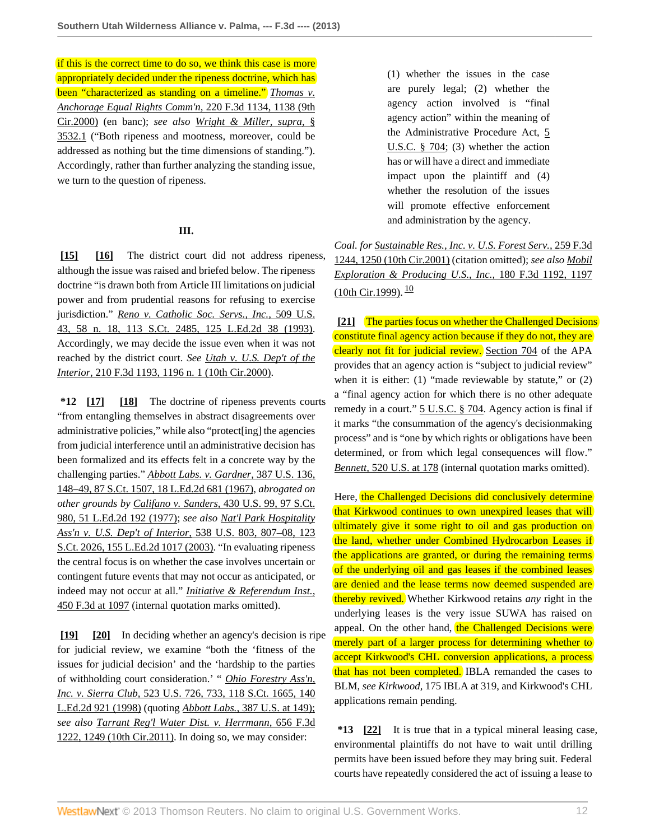if this is the correct time to do so, we think this case is more appropriately decided under the ripeness doctrine, which has been "characterized as standing on a timeline." *[Thomas v.](http://www.westlaw.com/Link/Document/FullText?findType=Y&serNum=2000462765&pubNum=506&originationContext=document&vr=3.0&rs=cblt1.0&transitionType=DocumentItem&contextData=(sc.Search)#co_pp_sp_506_1138) [Anchorage Equal Rights Comm'n,](http://www.westlaw.com/Link/Document/FullText?findType=Y&serNum=2000462765&pubNum=506&originationContext=document&vr=3.0&rs=cblt1.0&transitionType=DocumentItem&contextData=(sc.Search)#co_pp_sp_506_1138)* 220 F.3d 1134, 1138 (9th [Cir.2000\)](http://www.westlaw.com/Link/Document/FullText?findType=Y&serNum=2000462765&pubNum=506&originationContext=document&vr=3.0&rs=cblt1.0&transitionType=DocumentItem&contextData=(sc.Search)#co_pp_sp_506_1138) (en banc); *see also [Wright & Miller, supra,](http://www.westlaw.com/Link/Document/FullText?findType=Y&serNum=0341763081&pubNum=0102228&originationContext=document&vr=3.0&rs=cblt1.0&transitionType=DocumentItem&contextData=(sc.Search))* § [3532.1](http://www.westlaw.com/Link/Document/FullText?findType=Y&serNum=0341763081&pubNum=0102228&originationContext=document&vr=3.0&rs=cblt1.0&transitionType=DocumentItem&contextData=(sc.Search)) ("Both ripeness and mootness, moreover, could be addressed as nothing but the time dimensions of standing."). Accordingly, rather than further analyzing the standing issue, we turn to the question of ripeness.

## <span id="page-11-1"></span>**III.**

<span id="page-11-0"></span>[\[15\]](#page-2-0) [\[16\]](#page-2-4) The district court did not address ripeness, although the issue was raised and briefed below. The ripeness doctrine "is drawn both from Article III limitations on judicial power and from prudential reasons for refusing to exercise jurisdiction." *[Reno v. Catholic Soc. Servs., Inc.,](http://www.westlaw.com/Link/Document/FullText?findType=Y&serNum=1993124660&pubNum=708&originationContext=document&vr=3.0&rs=cblt1.0&transitionType=DocumentItem&contextData=(sc.Search))* 509 U.S. [43, 58 n. 18, 113 S.Ct. 2485, 125 L.Ed.2d 38 \(1993\)](http://www.westlaw.com/Link/Document/FullText?findType=Y&serNum=1993124660&pubNum=708&originationContext=document&vr=3.0&rs=cblt1.0&transitionType=DocumentItem&contextData=(sc.Search)). Accordingly, we may decide the issue even when it was not reached by the district court. *See [Utah v. U.S. Dep't of the](http://www.westlaw.com/Link/Document/FullText?findType=Y&serNum=2000112822&pubNum=506&originationContext=document&vr=3.0&rs=cblt1.0&transitionType=DocumentItem&contextData=(sc.Search)#co_pp_sp_506_1196) Interior,* [210 F.3d 1193, 1196 n. 1 \(10th Cir.2000\)](http://www.westlaw.com/Link/Document/FullText?findType=Y&serNum=2000112822&pubNum=506&originationContext=document&vr=3.0&rs=cblt1.0&transitionType=DocumentItem&contextData=(sc.Search)#co_pp_sp_506_1196).

<span id="page-11-3"></span><span id="page-11-2"></span>**\*12 [\[17\]](#page-2-5) [\[18\]](#page-2-6)** The doctrine of ripeness prevents courts "from entangling themselves in abstract disagreements over administrative policies," while also "protect[ing] the agencies from judicial interference until an administrative decision has been formalized and its effects felt in a concrete way by the challenging parties." *[Abbott Labs. v. Gardner,](http://www.westlaw.com/Link/Document/FullText?findType=Y&serNum=1967100001&pubNum=708&originationContext=document&vr=3.0&rs=cblt1.0&transitionType=DocumentItem&contextData=(sc.Search))* 387 U.S. 136, [148–49, 87 S.Ct. 1507, 18 L.Ed.2d 681 \(1967\),](http://www.westlaw.com/Link/Document/FullText?findType=Y&serNum=1967100001&pubNum=708&originationContext=document&vr=3.0&rs=cblt1.0&transitionType=DocumentItem&contextData=(sc.Search)) *abrogated on other grounds by Califano v. Sanders,* [430 U.S. 99, 97 S.Ct.](http://www.westlaw.com/Link/Document/FullText?findType=Y&serNum=1977118737&pubNum=708&originationContext=document&vr=3.0&rs=cblt1.0&transitionType=DocumentItem&contextData=(sc.Search)) [980, 51 L.Ed.2d 192 \(1977\);](http://www.westlaw.com/Link/Document/FullText?findType=Y&serNum=1977118737&pubNum=708&originationContext=document&vr=3.0&rs=cblt1.0&transitionType=DocumentItem&contextData=(sc.Search)) *see also [Nat'l Park Hospitality](http://www.westlaw.com/Link/Document/FullText?findType=Y&serNum=2003378345&pubNum=708&originationContext=document&vr=3.0&rs=cblt1.0&transitionType=DocumentItem&contextData=(sc.Search)) [Ass'n v. U.S. Dep't of Interior,](http://www.westlaw.com/Link/Document/FullText?findType=Y&serNum=2003378345&pubNum=708&originationContext=document&vr=3.0&rs=cblt1.0&transitionType=DocumentItem&contextData=(sc.Search))* 538 U.S. 803, 807–08, 123 [S.Ct. 2026, 155 L.Ed.2d 1017 \(2003\).](http://www.westlaw.com/Link/Document/FullText?findType=Y&serNum=2003378345&pubNum=708&originationContext=document&vr=3.0&rs=cblt1.0&transitionType=DocumentItem&contextData=(sc.Search)) "In evaluating ripeness the central focus is on whether the case involves uncertain or contingent future events that may not occur as anticipated, or indeed may not occur at all." *[Initiative & Referendum Inst.,](http://www.westlaw.com/Link/Document/FullText?findType=Y&serNum=2009201128&pubNum=506&originationContext=document&vr=3.0&rs=cblt1.0&transitionType=DocumentItem&contextData=(sc.Search)#co_pp_sp_506_1097)* [450 F.3d at 1097](http://www.westlaw.com/Link/Document/FullText?findType=Y&serNum=2009201128&pubNum=506&originationContext=document&vr=3.0&rs=cblt1.0&transitionType=DocumentItem&contextData=(sc.Search)#co_pp_sp_506_1097) (internal quotation marks omitted).

<span id="page-11-5"></span><span id="page-11-4"></span>**[\[19\]](#page-2-7) [\[20\]](#page-2-8)** In deciding whether an agency's decision is ripe for judicial review, we examine "both the 'fitness of the issues for judicial decision' and the 'hardship to the parties of withholding court consideration.' " *[Ohio Forestry Ass'n,](http://www.westlaw.com/Link/Document/FullText?findType=Y&serNum=1998108673&pubNum=708&originationContext=document&vr=3.0&rs=cblt1.0&transitionType=DocumentItem&contextData=(sc.Search)) Inc. v. Sierra Club,* [523 U.S. 726, 733, 118 S.Ct. 1665, 140](http://www.westlaw.com/Link/Document/FullText?findType=Y&serNum=1998108673&pubNum=708&originationContext=document&vr=3.0&rs=cblt1.0&transitionType=DocumentItem&contextData=(sc.Search)) [L.Ed.2d 921 \(1998\)](http://www.westlaw.com/Link/Document/FullText?findType=Y&serNum=1998108673&pubNum=708&originationContext=document&vr=3.0&rs=cblt1.0&transitionType=DocumentItem&contextData=(sc.Search)) (quoting *Abbott Labs.,* [387 U.S. at 149\);](http://www.westlaw.com/Link/Document/FullText?findType=Y&serNum=1967100001&pubNum=780&originationContext=document&vr=3.0&rs=cblt1.0&transitionType=DocumentItem&contextData=(sc.Search)#co_pp_sp_780_149) *see also [Tarrant Reg'l Water Dist. v. Herrmann,](http://www.westlaw.com/Link/Document/FullText?findType=Y&serNum=2026084218&pubNum=506&originationContext=document&vr=3.0&rs=cblt1.0&transitionType=DocumentItem&contextData=(sc.Search)#co_pp_sp_506_1249)* 656 F.3d [1222, 1249 \(10th Cir.2011\).](http://www.westlaw.com/Link/Document/FullText?findType=Y&serNum=2026084218&pubNum=506&originationContext=document&vr=3.0&rs=cblt1.0&transitionType=DocumentItem&contextData=(sc.Search)#co_pp_sp_506_1249) In doing so, we may consider:

(1) whether the issues in the case are purely legal; (2) whether the agency action involved is "final agency action" within the meaning of the Administrative Procedure Act, [5](http://www.westlaw.com/Link/Document/FullText?findType=L&pubNum=1000546&cite=5USCAS704&originatingDoc=I88675e9759b311e280719c3f0e80bdd0&refType=LQ&originationContext=document&vr=3.0&rs=cblt1.0&transitionType=DocumentItem&contextData=(sc.Search)) [U.S.C. § 704;](http://www.westlaw.com/Link/Document/FullText?findType=L&pubNum=1000546&cite=5USCAS704&originatingDoc=I88675e9759b311e280719c3f0e80bdd0&refType=LQ&originationContext=document&vr=3.0&rs=cblt1.0&transitionType=DocumentItem&contextData=(sc.Search)) (3) whether the action has or will have a direct and immediate impact upon the plaintiff and (4) whether the resolution of the issues will promote effective enforcement and administration by the agency.

*Coal. for [Sustainable Res., Inc. v. U.S. Forest Serv.,](http://www.westlaw.com/Link/Document/FullText?findType=Y&serNum=2001680578&pubNum=506&originationContext=document&vr=3.0&rs=cblt1.0&transitionType=DocumentItem&contextData=(sc.Search)#co_pp_sp_506_1250)* 259 F.3d [1244, 1250 \(10th Cir.2001\)](http://www.westlaw.com/Link/Document/FullText?findType=Y&serNum=2001680578&pubNum=506&originationContext=document&vr=3.0&rs=cblt1.0&transitionType=DocumentItem&contextData=(sc.Search)#co_pp_sp_506_1250) (citation omitted); *see also [Mobil](http://www.westlaw.com/Link/Document/FullText?findType=Y&serNum=1999143983&pubNum=506&originationContext=document&vr=3.0&rs=cblt1.0&transitionType=DocumentItem&contextData=(sc.Search)#co_pp_sp_506_1197) [Exploration & Producing U.S., Inc.,](http://www.westlaw.com/Link/Document/FullText?findType=Y&serNum=1999143983&pubNum=506&originationContext=document&vr=3.0&rs=cblt1.0&transitionType=DocumentItem&contextData=(sc.Search)#co_pp_sp_506_1197)* 180 F.3d 1192, 1197 [\(10th Cir.1999\)](http://www.westlaw.com/Link/Document/FullText?findType=Y&serNum=1999143983&pubNum=506&originationContext=document&vr=3.0&rs=cblt1.0&transitionType=DocumentItem&contextData=(sc.Search)#co_pp_sp_506_1197). <sup>[10](#page-13-9)</sup>

<span id="page-11-8"></span><span id="page-11-6"></span>**[\[21\]](#page-3-0)** The parties focus on whether the Challenged Decisions constitute final agency action because if they do not, they are clearly not fit for judicial review. [Section 704](http://www.westlaw.com/Link/Document/FullText?findType=L&pubNum=1000546&cite=5USCAS704&originatingDoc=I88675e9759b311e280719c3f0e80bdd0&refType=LQ&originationContext=document&vr=3.0&rs=cblt1.0&transitionType=DocumentItem&contextData=(sc.Search)) of the APA provides that an agency action is "subject to judicial review" when it is either: (1) "made reviewable by statute," or (2) a "final agency action for which there is no other adequate remedy in a court." [5 U.S.C. § 704](http://www.westlaw.com/Link/Document/FullText?findType=L&pubNum=1000546&cite=5USCAS704&originatingDoc=I88675e9759b311e280719c3f0e80bdd0&refType=LQ&originationContext=document&vr=3.0&rs=cblt1.0&transitionType=DocumentItem&contextData=(sc.Search)). Agency action is final if it marks "the consummation of the agency's decisionmaking process" and is "one by which rights or obligations have been determined, or from which legal consequences will flow." *Bennett,* [520 U.S. at 178](http://www.westlaw.com/Link/Document/FullText?findType=Y&serNum=1997071742&pubNum=780&originationContext=document&vr=3.0&rs=cblt1.0&transitionType=DocumentItem&contextData=(sc.Search)#co_pp_sp_780_178) (internal quotation marks omitted).

Here, the Challenged Decisions did conclusively determine that Kirkwood continues to own unexpired leases that will ultimately give it some right to oil and gas production on the land, whether under Combined Hydrocarbon Leases if the applications are granted, or during the remaining terms of the underlying oil and gas leases if the combined leases are denied and the lease terms now deemed suspended are thereby revived. Whether Kirkwood retains *any* right in the underlying leases is the very issue SUWA has raised on appeal. On the other hand, the Challenged Decisions were merely part of a larger process for determining whether to accept Kirkwood's CHL conversion applications, a process that has not been completed. IBLA remanded the cases to BLM, *see Kirkwood,* 175 IBLA at 319, and Kirkwood's CHL applications remain pending.

<span id="page-11-7"></span>**\*13 [\[22\]](#page-3-1)** It is true that in a typical mineral leasing case, environmental plaintiffs do not have to wait until drilling permits have been issued before they may bring suit. Federal courts have repeatedly considered the act of issuing a lease to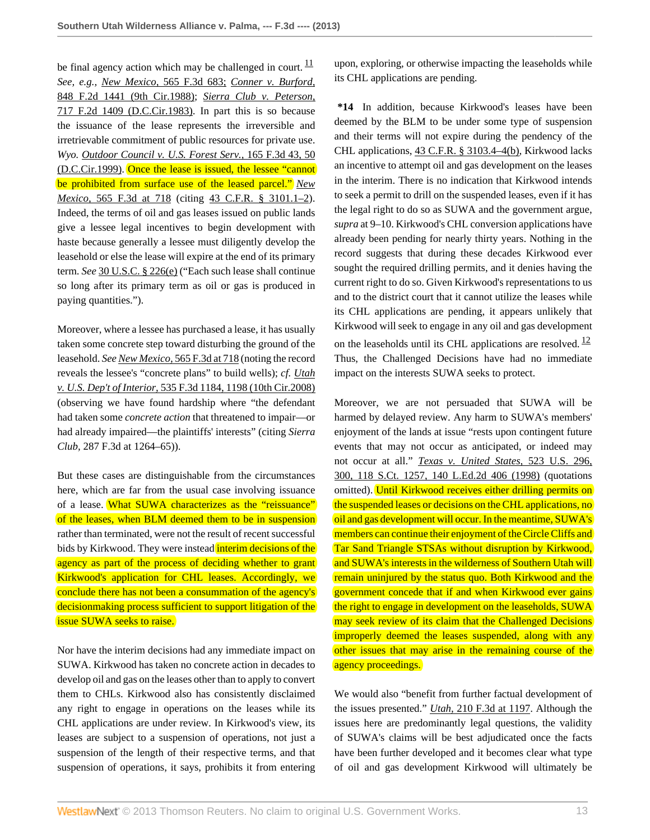be final agency action which may be challenged in court.  $\frac{11}{1}$  $\frac{11}{1}$  $\frac{11}{1}$ *See, e.g., New Mexico,* [565 F.3d 683;](http://www.westlaw.com/Link/Document/FullText?findType=Y&serNum=2018686432&pubNum=506&originationContext=document&vr=3.0&rs=cblt1.0&transitionType=DocumentItem&contextData=(sc.Search)) *[Conner v. Burford,](http://www.westlaw.com/Link/Document/FullText?findType=Y&serNum=1988087042&pubNum=350&originationContext=document&vr=3.0&rs=cblt1.0&transitionType=DocumentItem&contextData=(sc.Search))* [848 F.2d 1441 \(9th Cir.1988\)](http://www.westlaw.com/Link/Document/FullText?findType=Y&serNum=1988087042&pubNum=350&originationContext=document&vr=3.0&rs=cblt1.0&transitionType=DocumentItem&contextData=(sc.Search)); *[Sierra Club v. Peterson,](http://www.westlaw.com/Link/Document/FullText?findType=Y&serNum=1983144959&pubNum=350&originationContext=document&vr=3.0&rs=cblt1.0&transitionType=DocumentItem&contextData=(sc.Search))* [717 F.2d 1409 \(D.C.Cir.1983\).](http://www.westlaw.com/Link/Document/FullText?findType=Y&serNum=1983144959&pubNum=350&originationContext=document&vr=3.0&rs=cblt1.0&transitionType=DocumentItem&contextData=(sc.Search)) In part this is so because the issuance of the lease represents the irreversible and irretrievable commitment of public resources for private use. *Wyo. [Outdoor Council v. U.S. Forest Serv.,](http://www.westlaw.com/Link/Document/FullText?findType=Y&serNum=1999026693&pubNum=506&originationContext=document&vr=3.0&rs=cblt1.0&transitionType=DocumentItem&contextData=(sc.Search)#co_pp_sp_506_50)* 165 F.3d 43, 50 [\(D.C.Cir.1999\).](http://www.westlaw.com/Link/Document/FullText?findType=Y&serNum=1999026693&pubNum=506&originationContext=document&vr=3.0&rs=cblt1.0&transitionType=DocumentItem&contextData=(sc.Search)#co_pp_sp_506_50) Once the lease is issued, the lessee "cannot be prohibited from surface use of the leased parcel." *[New](http://www.westlaw.com/Link/Document/FullText?findType=Y&serNum=2018686432&pubNum=506&originationContext=document&vr=3.0&rs=cblt1.0&transitionType=DocumentItem&contextData=(sc.Search)#co_pp_sp_506_718) Mexico,* [565 F.3d at 718](http://www.westlaw.com/Link/Document/FullText?findType=Y&serNum=2018686432&pubNum=506&originationContext=document&vr=3.0&rs=cblt1.0&transitionType=DocumentItem&contextData=(sc.Search)#co_pp_sp_506_718) (citing [43 C.F.R. § 3101.1–2](http://www.westlaw.com/Link/Document/FullText?findType=L&pubNum=1000547&cite=43CFRS3101.1-2&originatingDoc=I88675e9759b311e280719c3f0e80bdd0&refType=LQ&originationContext=document&vr=3.0&rs=cblt1.0&transitionType=DocumentItem&contextData=(sc.Search))). Indeed, the terms of oil and gas leases issued on public lands give a lessee legal incentives to begin development with haste because generally a lessee must diligently develop the leasehold or else the lease will expire at the end of its primary term. *See* [30 U.S.C. § 226\(e\)](http://www.westlaw.com/Link/Document/FullText?findType=L&pubNum=1000546&cite=30USCAS226&originationContext=document&vr=3.0&rs=cblt1.0&transitionType=DocumentItem&contextData=(sc.Search)#co_pp_7fdd00001ca15) ("Each such lease shall continue so long after its primary term as oil or gas is produced in paying quantities.").

Moreover, where a lessee has purchased a lease, it has usually taken some concrete step toward disturbing the ground of the leasehold. *See New Mexico,* [565 F.3d at 718](http://www.westlaw.com/Link/Document/FullText?findType=Y&serNum=2018686432&pubNum=506&originationContext=document&vr=3.0&rs=cblt1.0&transitionType=DocumentItem&contextData=(sc.Search)#co_pp_sp_506_718) (noting the record reveals the lessee's "concrete plans" to build wells); *cf. [Utah](http://www.westlaw.com/Link/Document/FullText?findType=Y&serNum=2016677041&pubNum=506&originationContext=document&vr=3.0&rs=cblt1.0&transitionType=DocumentItem&contextData=(sc.Search)#co_pp_sp_506_1198) v. U.S. Dep't of Interior,* [535 F.3d 1184, 1198 \(10th Cir.2008\)](http://www.westlaw.com/Link/Document/FullText?findType=Y&serNum=2016677041&pubNum=506&originationContext=document&vr=3.0&rs=cblt1.0&transitionType=DocumentItem&contextData=(sc.Search)#co_pp_sp_506_1198) (observing we have found hardship where "the defendant had taken some *concrete action* that threatened to impair—or had already impaired—the plaintiffs' interests" (citing *Sierra Club,* 287 F.3d at 1264–65)).

But these cases are distinguishable from the circumstances here, which are far from the usual case involving issuance of a lease. What SUWA characterizes as the "reissuance" of the leases, when BLM deemed them to be in suspension rather than terminated, were not the result of recent successful bids by Kirkwood. They were instead *interim decisions* of the agency as part of the process of deciding whether to grant Kirkwood's application for CHL leases. Accordingly, we conclude there has not been a consummation of the agency's decisionmaking process sufficient to support litigation of the issue SUWA seeks to raise.

Nor have the interim decisions had any immediate impact on SUWA. Kirkwood has taken no concrete action in decades to develop oil and gas on the leases other than to apply to convert them to CHLs. Kirkwood also has consistently disclaimed any right to engage in operations on the leases while its CHL applications are under review. In Kirkwood's view, its leases are subject to a suspension of operations, not just a suspension of the length of their respective terms, and that suspension of operations, it says, prohibits it from entering

<span id="page-12-0"></span>upon, exploring, or otherwise impacting the leaseholds while its CHL applications are pending.

**\*14** In addition, because Kirkwood's leases have been deemed by the BLM to be under some type of suspension and their terms will not expire during the pendency of the CHL applications, [43 C.F.R. § 3103.4–4\(b\)](http://www.westlaw.com/Link/Document/FullText?findType=L&pubNum=1000547&cite=43CFRS3103.4-4&originationContext=document&vr=3.0&rs=cblt1.0&transitionType=DocumentItem&contextData=(sc.Search)#co_pp_a83b000018c76), Kirkwood lacks an incentive to attempt oil and gas development on the leases in the interim. There is no indication that Kirkwood intends to seek a permit to drill on the suspended leases, even if it has the legal right to do so as SUWA and the government argue, *supra* at 9–10. Kirkwood's CHL conversion applications have already been pending for nearly thirty years. Nothing in the record suggests that during these decades Kirkwood ever sought the required drilling permits, and it denies having the current right to do so. Given Kirkwood's representations to us and to the district court that it cannot utilize the leases while its CHL applications are pending, it appears unlikely that Kirkwood will seek to engage in any oil and gas development on the leaseholds until its CHL applications are resolved.  $\frac{12}{12}$  $\frac{12}{12}$  $\frac{12}{12}$ Thus, the Challenged Decisions have had no immediate impact on the interests SUWA seeks to protect.

<span id="page-12-1"></span>Moreover, we are not persuaded that SUWA will be harmed by delayed review. Any harm to SUWA's members' enjoyment of the lands at issue "rests upon contingent future events that may not occur as anticipated, or indeed may not occur at all." *[Texas v. United States,](http://www.westlaw.com/Link/Document/FullText?findType=Y&serNum=1998079524&pubNum=708&originationContext=document&vr=3.0&rs=cblt1.0&transitionType=DocumentItem&contextData=(sc.Search))* 523 U.S. 296, [300, 118 S.Ct. 1257, 140 L.Ed.2d 406 \(1998\)](http://www.westlaw.com/Link/Document/FullText?findType=Y&serNum=1998079524&pubNum=708&originationContext=document&vr=3.0&rs=cblt1.0&transitionType=DocumentItem&contextData=(sc.Search)) (quotations omitted). Until Kirkwood receives either drilling permits on the suspended leases or decisions on the CHL applications, no oil and gas development will occur. In the meantime, SUWA's members can continue their enjoyment of the Circle Cliffs and Tar Sand Triangle STSAs without disruption by Kirkwood, and SUWA's interests in the wilderness of Southern Utah will remain uninjured by the status quo. Both Kirkwood and the government concede that if and when Kirkwood ever gains the right to engage in development on the leaseholds, SUWA may seek review of its claim that the Challenged Decisions improperly deemed the leases suspended, along with any other issues that may arise in the remaining course of the agency proceedings.

We would also "benefit from further factual development of the issues presented." *Utah,* [210 F.3d at 1197.](http://www.westlaw.com/Link/Document/FullText?findType=Y&serNum=2000112822&pubNum=506&originationContext=document&vr=3.0&rs=cblt1.0&transitionType=DocumentItem&contextData=(sc.Search)#co_pp_sp_506_1197) Although the issues here are predominantly legal questions, the validity of SUWA's claims will be best adjudicated once the facts have been further developed and it becomes clear what type of oil and gas development Kirkwood will ultimately be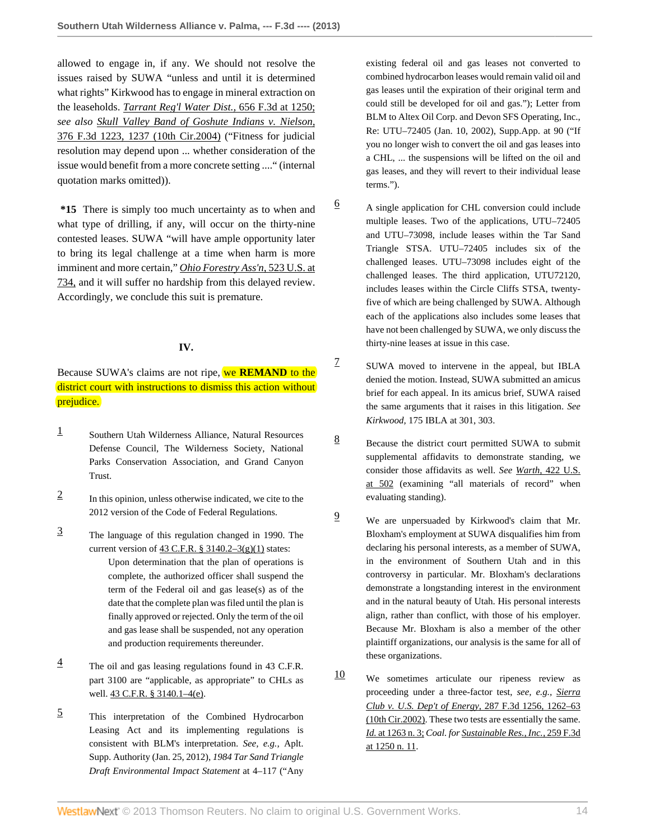allowed to engage in, if any. We should not resolve the issues raised by SUWA "unless and until it is determined what rights" Kirkwood has to engage in mineral extraction on the leaseholds. *[Tarrant Reg'l Water Dist.,](http://www.westlaw.com/Link/Document/FullText?findType=Y&serNum=2026084218&pubNum=506&originationContext=document&vr=3.0&rs=cblt1.0&transitionType=DocumentItem&contextData=(sc.Search)#co_pp_sp_506_1250)* 656 F.3d at 1250; *see also [Skull Valley Band of Goshute Indians v. Nielson,](http://www.westlaw.com/Link/Document/FullText?findType=Y&serNum=2004816952&pubNum=506&originationContext=document&vr=3.0&rs=cblt1.0&transitionType=DocumentItem&contextData=(sc.Search)#co_pp_sp_506_1237)* [376 F.3d 1223, 1237 \(10th Cir.2004\)](http://www.westlaw.com/Link/Document/FullText?findType=Y&serNum=2004816952&pubNum=506&originationContext=document&vr=3.0&rs=cblt1.0&transitionType=DocumentItem&contextData=(sc.Search)#co_pp_sp_506_1237) ("Fitness for judicial resolution may depend upon ... whether consideration of the issue would benefit from a more concrete setting ...." (internal quotation marks omitted)).

**\*15** There is simply too much uncertainty as to when and what type of drilling, if any, will occur on the thirty-nine contested leases. SUWA "will have ample opportunity later to bring its legal challenge at a time when harm is more imminent and more certain," *[Ohio Forestry Ass'n,](http://www.westlaw.com/Link/Document/FullText?findType=Y&serNum=1998108673&pubNum=780&originationContext=document&vr=3.0&rs=cblt1.0&transitionType=DocumentItem&contextData=(sc.Search)#co_pp_sp_780_734)* 523 U.S. at [734,](http://www.westlaw.com/Link/Document/FullText?findType=Y&serNum=1998108673&pubNum=780&originationContext=document&vr=3.0&rs=cblt1.0&transitionType=DocumentItem&contextData=(sc.Search)#co_pp_sp_780_734) and it will suffer no hardship from this delayed review. Accordingly, we conclude this suit is premature.

#### **IV.**

Because SUWA's claims are not ripe, we **REMAND** to the district court with instructions to dismiss this action without prejudice.

- <span id="page-13-0"></span>[1](#page-3-2) Southern Utah Wilderness Alliance, Natural Resources Defense Council, The Wilderness Society, National Parks Conservation Association, and Grand Canyon Trust.
- <span id="page-13-1"></span>[2](#page-4-0) In this opinion, unless otherwise indicated, we cite to the 2012 version of the Code of Federal Regulations.
- <span id="page-13-2"></span>[3](#page-4-1) The language of this regulation changed in 1990. The current version of  $43$  C.F.R. §  $3140.2-3(g)(1)$  states: Upon determination that the plan of operations is complete, the authorized officer shall suspend the term of the Federal oil and gas lease(s) as of the date that the complete plan was filed until the plan is finally approved or rejected. Only the term of the oil and gas lease shall be suspended, not any operation and production requirements thereunder.
- <span id="page-13-3"></span> $\frac{4}{1}$  $\frac{4}{1}$  $\frac{4}{1}$  The oil and gas leasing regulations found in 43 C.F.R. part 3100 are "applicable, as appropriate" to CHLs as well. 43 C.F.R. § 3140.1-4(e).
- <span id="page-13-4"></span>[5](#page-4-3) This interpretation of the Combined Hydrocarbon Leasing Act and its implementing regulations is consistent with BLM's interpretation. *See, e.g.,* Aplt. Supp. Authority (Jan. 25, 2012), *1984 Tar Sand Triangle Draft Environmental Impact Statement* at 4–117 ("Any

existing federal oil and gas leases not converted to combined hydrocarbon leases would remain valid oil and gas leases until the expiration of their original term and could still be developed for oil and gas."); Letter from BLM to Altex Oil Corp. and Devon SFS Operating, Inc., Re: UTU–72405 (Jan. 10, 2002), Supp.App. at 90 ("If you no longer wish to convert the oil and gas leases into a CHL, ... the suspensions will be lifted on the oil and gas leases, and they will revert to their individual lease terms.").

- <span id="page-13-5"></span> $\frac{6}{9}$  $\frac{6}{9}$  $\frac{6}{9}$  A single application for CHL conversion could include multiple leases. Two of the applications, UTU–72405 and UTU–73098, include leases within the Tar Sand Triangle STSA. UTU–72405 includes six of the challenged leases. UTU–73098 includes eight of the challenged leases. The third application, UTU72120, includes leases within the Circle Cliffs STSA, twentyfive of which are being challenged by SUWA. Although each of the applications also includes some leases that have not been challenged by SUWA, we only discuss the thirty-nine leases at issue in this case.
	- SUWA moved to intervene in the appeal, but IBLA denied the motion. Instead, SUWA submitted an amicus brief for each appeal. In its amicus brief, SUWA raised the same arguments that it raises in this litigation. *See Kirkwood,* 175 IBLA at 301, 303.

<span id="page-13-6"></span>[7](#page-6-0)

- <span id="page-13-7"></span> $\frac{8}{9}$  $\frac{8}{9}$  $\frac{8}{9}$  Because the district court permitted SUWA to submit supplemental affidavits to demonstrate standing, we consider those affidavits as well. *See Warth,* [422 U.S.](http://www.westlaw.com/Link/Document/FullText?findType=Y&serNum=1975129820&pubNum=780&originationContext=document&vr=3.0&rs=cblt1.0&transitionType=DocumentItem&contextData=(sc.Search)#co_pp_sp_780_502) [at 502](http://www.westlaw.com/Link/Document/FullText?findType=Y&serNum=1975129820&pubNum=780&originationContext=document&vr=3.0&rs=cblt1.0&transitionType=DocumentItem&contextData=(sc.Search)#co_pp_sp_780_502) (examining "all materials of record" when evaluating standing).
- <span id="page-13-8"></span>[9](#page-8-1) We are unpersuaded by Kirkwood's claim that Mr. Bloxham's employment at SUWA disqualifies him from declaring his personal interests, as a member of SUWA, in the environment of Southern Utah and in this controversy in particular. Mr. Bloxham's declarations demonstrate a longstanding interest in the environment and in the natural beauty of Utah. His personal interests align, rather than conflict, with those of his employer. Because Mr. Bloxham is also a member of the other plaintiff organizations, our analysis is the same for all of these organizations.
- <span id="page-13-9"></span> $10$  We sometimes articulate our ripeness review as proceeding under a three-factor test, *see, e.g., [Sierra](http://www.westlaw.com/Link/Document/FullText?findType=Y&serNum=2002269121&pubNum=506&originationContext=document&vr=3.0&rs=cblt1.0&transitionType=DocumentItem&contextData=(sc.Search)#co_pp_sp_506_1262) [Club v. U.S. Dep't of Energy,](http://www.westlaw.com/Link/Document/FullText?findType=Y&serNum=2002269121&pubNum=506&originationContext=document&vr=3.0&rs=cblt1.0&transitionType=DocumentItem&contextData=(sc.Search)#co_pp_sp_506_1262)* 287 F.3d 1256, 1262–63 [\(10th Cir.2002\).](http://www.westlaw.com/Link/Document/FullText?findType=Y&serNum=2002269121&pubNum=506&originationContext=document&vr=3.0&rs=cblt1.0&transitionType=DocumentItem&contextData=(sc.Search)#co_pp_sp_506_1262) These two tests are essentially the same. *Id.* [at 1263 n. 3;](http://www.westlaw.com/Link/Document/FullText?findType=Y&serNum=2002269121&originationContext=document&vr=3.0&rs=cblt1.0&transitionType=DocumentItem&contextData=(sc.Search)) *Coal. for [Sustainable Res., Inc.,](http://www.westlaw.com/Link/Document/FullText?findType=Y&serNum=2001680578&pubNum=506&originationContext=document&vr=3.0&rs=cblt1.0&transitionType=DocumentItem&contextData=(sc.Search)#co_pp_sp_506_1250)* 259 F.3d [at 1250 n. 11.](http://www.westlaw.com/Link/Document/FullText?findType=Y&serNum=2001680578&pubNum=506&originationContext=document&vr=3.0&rs=cblt1.0&transitionType=DocumentItem&contextData=(sc.Search)#co_pp_sp_506_1250)